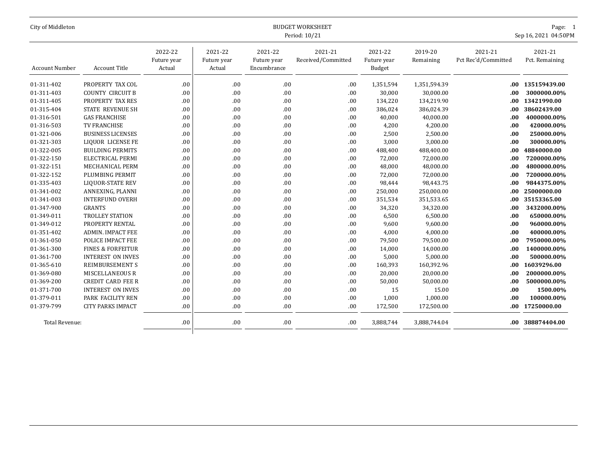| City of Middleton     |                              |                                  |                                  | Page: 1<br>Sep 16, 2021 04:50PM       |                               |                                  |                      |                                |                           |
|-----------------------|------------------------------|----------------------------------|----------------------------------|---------------------------------------|-------------------------------|----------------------------------|----------------------|--------------------------------|---------------------------|
| <b>Account Number</b> | <b>Account Title</b>         | 2022-22<br>Future year<br>Actual | 2021-22<br>Future year<br>Actual | 2021-22<br>Future year<br>Encumbrance | 2021-21<br>Received/Committed | 2021-22<br>Future year<br>Budget | 2019-20<br>Remaining | 2021-21<br>Pct Rec'd/Committed | 2021-21<br>Pct. Remaining |
| 01-311-402            | PROPERTY TAX COL             | .00                              | .00                              | .00                                   | .00                           | 1,351,594                        | 1,351,594.39         | .00 <sub>1</sub>               | 135159439.00              |
| 01-311-403            | <b>COUNTY CIRCUIT B</b>      | .00                              | .00                              | .00                                   | .00                           | 30,000                           | 30,000.00            | .00                            | 3000000.00%               |
| 01-311-405            | PROPERTY TAX RES             | .00                              | .00                              | .00                                   | .00                           | 134,220                          | 134,219.90           | .00                            | 13421990.00               |
| 01-315-404            | <b>STATE REVENUE SH</b>      | .00                              | .00                              | .00                                   | .00                           | 386,024                          | 386,024.39           | .00                            | 38602439.00               |
| 01-316-501            | <b>GAS FRANCHISE</b>         | .00                              | .00                              | .00                                   | .00                           | 40,000                           | 40,000.00            | .00                            | 4000000.00%               |
| 01-316-503            | TV FRANCHISE                 | .00                              | .00                              | .00                                   | .00                           | 4,200                            | 4,200.00             | .00                            | 420000.00%                |
| 01-321-006            | <b>BUSINESS LICENSES</b>     | .00                              | .00                              | .00                                   | .00                           | 2,500                            | 2,500.00             | .00                            | 250000.00%                |
| 01-321-303            | LIQUOR LICENSE FE            | .00                              | .00                              | .00                                   | .00                           | 3,000                            | 3,000.00             | .00                            | 300000.00%                |
| 01-322-005            | <b>BUILDING PERMITS</b>      | .00                              | .00                              | .00                                   | .00                           | 488,400                          | 488,400.00           | .00                            | 48840000.00               |
| 01-322-150            | ELECTRICAL PERMI             | .00                              | .00                              | .00                                   | .00                           | 72,000                           | 72,000.00            | .00                            | 7200000.00%               |
| 01-322-151            | MECHANICAL PERM              | .00                              | .00                              | .00                                   | .00                           | 48,000                           | 48,000.00            | .00                            | 4800000.00%               |
| 01-322-152            | PLUMBING PERMIT              | .00                              | .00                              | .00                                   | .00                           | 72,000                           | 72,000.00            | .00                            | 7200000.00%               |
| 01-335-403            | <b>LIQUOR-STATE REV</b>      | .00                              | .00                              | .00                                   | .00                           | 98,444                           | 98,443.75            | .00                            | 9844375.00%               |
| 01-341-002            | ANNEXING, PLANNI             | .00.                             | .00                              | .00                                   | .00                           | 250,000                          | 250,000.00           | .00                            | 25000000.00               |
| 01-341-003            | <b>INTERFUND OVERH</b>       | .00                              | .00                              | .00                                   | .00                           | 351,534                          | 351,533.65           | .00                            | 35153365.00               |
| 01-347-900            | <b>GRANTS</b>                | .00                              | .00                              | .00                                   | .00                           | 34,320                           | 34,320.00            | .00.                           | 3432000.00%               |
| 01-349-011            | <b>TROLLEY STATION</b>       | .00                              | .00                              | .00                                   | .00                           | 6,500                            | 6,500.00             | .00                            | 650000.00%                |
| 01-349-012            | PROPERTY RENTAL              | .00                              | .00                              | .00                                   | .00                           | 9,600                            | 9,600.00             | .00                            | 960000.00%                |
| 01-351-402            | <b>ADMIN. IMPACT FEE</b>     | .00                              | .00                              | .00                                   | .00                           | 4,000                            | 4,000.00             | .00                            | 400000.00%                |
| 01-361-050            | POLICE IMPACT FEE            | .00                              | .00                              | .00                                   | .00                           | 79,500                           | 79,500.00            | .00                            | 7950000.00%               |
| 01-361-300            | <b>FINES &amp; FORFEITUR</b> | .00                              | .00                              | .00                                   | .00                           | 14,000                           | 14,000.00            | .00                            | 1400000.00%               |
| 01-361-700            | <b>INTEREST ON INVES</b>     | .00                              | .00                              | .00                                   | .00                           | 5,000                            | 5,000.00             | .00                            | 500000.00%                |
| 01-365-610            | <b>REIMBURSEMENT S</b>       | .00                              | .00                              | .00                                   | .00                           | 160,393                          | 160,392.96           | .00                            | 16039296.00               |
| 01-369-080            | <b>MISCELLANEOUS R</b>       | .00                              | .00                              | .00                                   | .00                           | 20,000                           | 20,000.00            | .00                            | 2000000.00%               |
| 01-369-200            | <b>CREDIT CARD FEE R</b>     | .00                              | .00                              | .00                                   | .00                           | 50,000                           | 50,000.00            | .00                            | 5000000.00%               |
| 01-371-700            | <b>INTEREST ON INVES</b>     | .00                              | .00                              | .00                                   | .00                           | 15                               | 15.00                | .00                            | 1500.00%                  |
| 01-379-011            | PARK FACILITY REN            | .00                              | .00                              | .00                                   | .00                           | 1,000                            | 1,000.00             | .00                            | 100000.00%                |
| 01-379-799            | <b>CITY PARKS IMPACT</b>     | .00                              | .00                              | .00                                   | .00                           | 172,500                          | 172,500.00           |                                | .00 17250000.00           |
| Total Revenue:        |                              | .00                              | .00                              | .00                                   | .00.                          | 3,888,744                        | 3,888,744.04         | $.00\,$                        | 388874404.00              |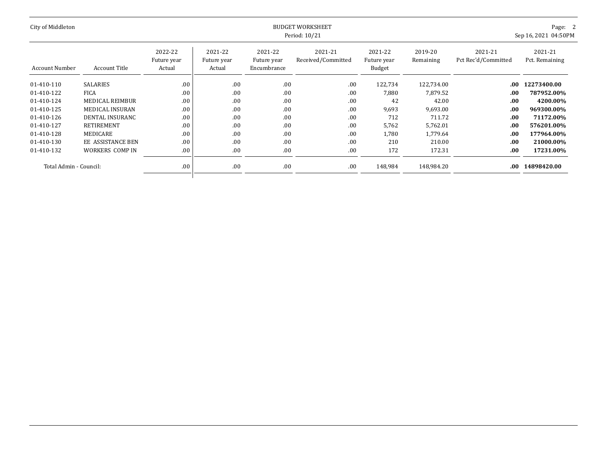| City of Middleton      |                        | <b>BUDGET WORKSHEET</b><br>Period: 10/21 |                                  |                                       |                               |                                  |                      |                                |                           |  |  |  |
|------------------------|------------------------|------------------------------------------|----------------------------------|---------------------------------------|-------------------------------|----------------------------------|----------------------|--------------------------------|---------------------------|--|--|--|
| <b>Account Number</b>  | <b>Account Title</b>   | 2022-22<br>Future year<br>Actual         | 2021-22<br>Future year<br>Actual | 2021-22<br>Future year<br>Encumbrance | 2021-21<br>Received/Committed | 2021-22<br>Future year<br>Budget | 2019-20<br>Remaining | 2021-21<br>Pct Rec'd/Committed | 2021-21<br>Pct. Remaining |  |  |  |
| 01-410-110             | SALARIES               | .00                                      | .00                              | .00                                   | .00.                          | 122,734                          | 122,734.00           | .00.                           | 12273400.00               |  |  |  |
| 01-410-122             | <b>FICA</b>            | .00                                      | .00                              | .00                                   | .00                           | 7,880                            | 7,879.52             | .00.                           | 787952.00%                |  |  |  |
| 01-410-124             | <b>MEDICAL REIMBUR</b> | .00                                      | .00                              | .00                                   | .00.                          | 42                               | 42.00                | .00.                           | 4200.00%                  |  |  |  |
| 01-410-125             | MEDICAL INSURAN        | .00                                      | .00                              | .00                                   | .00                           | 9,693                            | 9,693.00             | .00                            | 969300.00%                |  |  |  |
| 01-410-126             | DENTAL INSURANC        | .00                                      | .00.                             | .00                                   | .00.                          | 712                              | 711.72               | .00.                           | 71172.00%                 |  |  |  |
| 01-410-127             | RETIREMENT             | .00                                      | .00                              | .00                                   | .00                           | 5,762                            | 5,762.01             | .00                            | 576201.00%                |  |  |  |
| 01-410-128             | MEDICARE               | .00                                      | .00.                             | .00                                   | .00                           | 1,780                            | 1,779.64             | .00.                           | 177964.00%                |  |  |  |
| 01-410-130             | EE ASSISTANCE BEN      | .00                                      | .00.                             | .00                                   | .00                           | 210                              | 210.00               | .00.                           | 21000.00%                 |  |  |  |
| 01-410-132             | WORKERS COMP IN        | .00                                      | .00                              | .00                                   | .00                           | 172                              | 172.31               | .00.                           | 17231.00%                 |  |  |  |
| Total Admin - Council: |                        | .00                                      | .00                              | .00                                   | .00                           | 148,984                          | 148,984.20           | $.00\,$                        | 14898420.00               |  |  |  |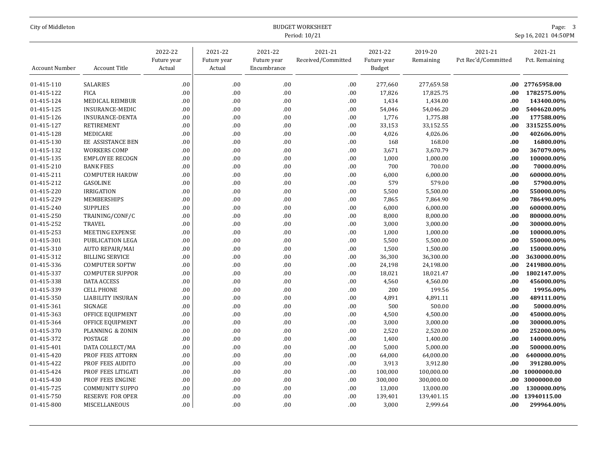| City of Middleton     |                         | <b>BUDGET WORKSHEET</b><br>Sep 16, 2021 04:50PM<br>Period: 10/21 |                                  |                                       |                               |                                  |                      |                                |                           |  |  |
|-----------------------|-------------------------|------------------------------------------------------------------|----------------------------------|---------------------------------------|-------------------------------|----------------------------------|----------------------|--------------------------------|---------------------------|--|--|
| <b>Account Number</b> | <b>Account Title</b>    | 2022-22<br>Future year<br>Actual                                 | 2021-22<br>Future year<br>Actual | 2021-22<br>Future year<br>Encumbrance | 2021-21<br>Received/Committed | 2021-22<br>Future year<br>Budget | 2019-20<br>Remaining | 2021-21<br>Pct Rec'd/Committed | 2021-21<br>Pct. Remaining |  |  |
| 01-415-110            | <b>SALARIES</b>         | .00                                                              | .00                              | .00.                                  | .00                           | 277,660                          | 277,659.58           |                                | .00 27765958.00           |  |  |
| 01-415-122            | <b>FICA</b>             | .00                                                              | .00                              | .00                                   | .00                           | 17,826                           | 17,825.75            | .00.                           | 1782575.00%               |  |  |
| 01-415-124            | MEDICAL REIMBUR         | .00                                                              | .00                              | .00                                   | .00                           | 1,434                            | 1,434.00             | .00                            | 143400.00%                |  |  |
| 01-415-125            | INSURANCE-MEDIC         | .00                                                              | .00                              | .00.                                  | .00                           | 54,046                           | 54,046.20            | .00                            | 5404620.00%               |  |  |
| 01-415-126            | <b>INSURANCE-DENTA</b>  | .00                                                              | .00                              | .00                                   | .00                           | 1,776                            | 1,775.88             | .00                            | 177588.00%                |  |  |
| 01-415-127            | RETIREMENT              | .00                                                              | .00                              | .00.                                  | .00                           | 33,153                           | 33,152.55            | .00                            | 3315255.00%               |  |  |
| 01-415-128            | MEDICARE                | .00                                                              | .00                              | .00                                   | .00                           | 4,026                            | 4,026.06             | .00                            | 402606.00%                |  |  |
| 01-415-130            | EE ASSISTANCE BEN       | .00                                                              | .00                              | .00.                                  | .00                           | 168                              | 168.00               | .00                            | 16800.00%                 |  |  |
| 01-415-132            | <b>WORKERS COMP</b>     | .00                                                              | .00                              | .00                                   | .00                           | 3,671                            | 3,670.79             | .00                            | 367079.00%                |  |  |
| 01-415-135            | <b>EMPLOYEE RECOGN</b>  | .00                                                              | .00                              | .00                                   | .00                           | 1,000                            | 1,000.00             | .00                            | 100000.00%                |  |  |
| 01-415-210            | <b>BANK FEES</b>        | .00                                                              | .00                              | .00.                                  | .00                           | 700                              | 700.00               | .00                            | 70000.00%                 |  |  |
| 01-415-211            | <b>COMPUTER HARDW</b>   | .00                                                              | .00                              | .00                                   | .00                           | 6,000                            | 6,000.00             | .00                            | 600000.00%                |  |  |
| 01-415-212            | <b>GASOLINE</b>         | .00                                                              | .00.                             | .00.                                  | .00                           | 579                              | 579.00               | .00                            | 57900.00%                 |  |  |
| 01-415-220            | <b>IRRIGATION</b>       | .00                                                              | .00                              | .00                                   | .00                           | 5,500                            | 5,500.00             | .00                            | 550000.00%                |  |  |
| 01-415-229            | MEMBERSHIPS             | .00                                                              | .00                              | .00                                   | .00                           | 7,865                            | 7,864.90             | .00                            | 786490.00%                |  |  |
| 01-415-240            | <b>SUPPLIES</b>         | .00                                                              | .00                              | .00                                   | .00                           | 6,000                            | 6,000.00             | .00                            | 600000.00%                |  |  |
| 01-415-250            | TRAINING/CONF/C         | .00                                                              | .00.                             | .00.                                  | .00                           | 8,000                            | 8,000.00             | .00                            | 800000.00%                |  |  |
| 01-415-252            | <b>TRAVEL</b>           | .00                                                              | .00                              | .00.                                  | .00                           | 3,000                            | 3,000.00             | .00                            | 300000.00%                |  |  |
| 01-415-253            | <b>MEETING EXPENSE</b>  | .00                                                              | .00                              | .00                                   | .00                           | 1,000                            | 1,000.00             | .00                            | 100000.00%                |  |  |
| 01-415-301            | PUBLICATION LEGA        | .00                                                              | .00                              | .00                                   | .00                           | 5,500                            | 5,500.00             | .00                            | 550000.00%                |  |  |
| 01-415-310            | <b>AUTO REPAIR/MAI</b>  | .00                                                              | .00.                             | .00                                   | .00                           | 1,500                            | 1,500.00             | .00                            | 150000.00%                |  |  |
| 01-415-312            | <b>BILLING SERVICE</b>  | .00                                                              | .00                              | .00.                                  | .00                           | 36,300                           | 36,300.00            | .00                            | 3630000.00%               |  |  |
| 01-415-336            | <b>COMPUTER SOFTW</b>   | .00                                                              | .00                              | .00.                                  | .00                           | 24,198                           | 24,198.00            | .00                            | 2419800.00%               |  |  |
| 01-415-337            | <b>COMPUTER SUPPOR</b>  | .00                                                              | .00                              | .00.                                  | .00                           | 18,021                           | 18,021.47            | .00                            | 1802147.00%               |  |  |
| 01-415-338            | <b>DATA ACCESS</b>      | .00                                                              | .00.                             | .00                                   | .00                           | 4,560                            | 4,560.00             | .00                            | 456000.00%                |  |  |
| 01-415-339            | <b>CELL PHONE</b>       | .00                                                              | .00                              | .00                                   | .00                           | 200                              | 199.56               | .00                            | 19956.00%                 |  |  |
| 01-415-350            | LIABILITY INSURAN       | .00                                                              | .00                              | .00                                   | .00                           | 4,891                            | 4,891.11             | .00                            | 489111.00%                |  |  |
| 01-415-361            | SIGNAGE                 | .00                                                              | .00                              | .00.                                  | .00                           | 500                              | 500.00               | .00                            | 50000.00%                 |  |  |
| 01-415-363            | OFFICE EQUIPMENT        | .00                                                              | .00                              | .00                                   | .00                           | 4,500                            | 4,500.00             | .00                            | 450000.00%                |  |  |
| 01-415-364            | OFFICE EQUIPMENT        | .00                                                              | .00                              | .00                                   | .00                           | 3,000                            | 3,000.00             | .00                            | 300000.00%                |  |  |
| 01-415-370            | PLANNING & ZONIN        | .00                                                              | .00                              | .00                                   | .00                           | 2,520                            | 2,520.00             | .00                            | 252000.00%                |  |  |
| 01-415-372            | <b>POSTAGE</b>          | .00                                                              | .00                              | .00.                                  | .00                           | 1,400                            | 1,400.00             | .00                            | 140000.00%                |  |  |
| 01-415-401            | DATA COLLECT/MA         | .00                                                              | .00                              | .00.                                  | .00                           | 5,000                            | 5,000.00             | .00                            | 500000.00%                |  |  |
| 01-415-420            | <b>PROF FEES ATTORN</b> | .00                                                              | .00                              | .00                                   | .00                           | 64,000                           | 64,000.00            | .00.                           | 6400000.00%               |  |  |
| 01-415-422            | PROF FEES AUDITO        | .00                                                              | .00                              | .00.                                  | .00                           | 3,913                            | 3,912.80             | .00                            | 391280.00%                |  |  |
| 01-415-424            | PROF FEES LITIGATI      | .00                                                              | .00                              | .00                                   | .00                           | 100,000                          | 100,000.00           | .00.                           | 10000000.00               |  |  |
| 01-415-430            | PROF FEES ENGINE        | .00                                                              | .00                              | .00.                                  | .00                           | 300,000                          | 300,000.00           | .00.                           | 30000000.00               |  |  |
| 01-415-725            | <b>COMMUNITY SUPPO</b>  | .00                                                              | .00                              | .00.                                  | .00                           | 13,000                           | 13,000.00            | .00                            | 1300000.00%               |  |  |
| 01-415-750            | <b>RESERVE FOR OPER</b> | .00                                                              | .00                              | .00                                   | .00                           | 139,401                          | 139,401.15           | .00.                           | 13940115.00               |  |  |
| 01-415-800            | MISCELLANEOUS           | .00                                                              | .00.                             | .00                                   | .00                           | 3,000                            | 2,999.64             | .00.                           | 299964.00%                |  |  |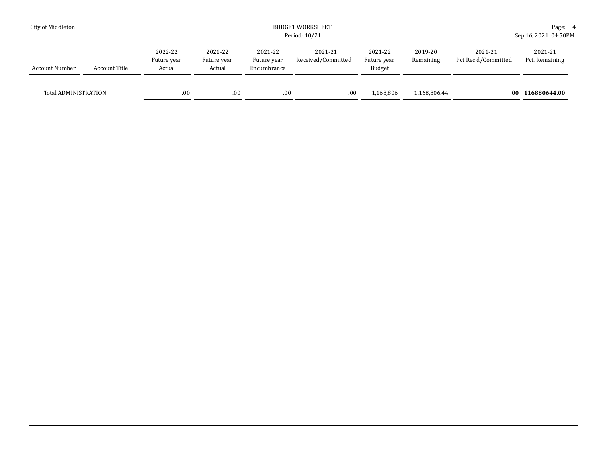| City of Middleton     |               |                                  |                                  |                                       | BUDGET WORKSHEET<br>Period: 10/21 |                                  |                      | Page: 4<br>Sep 16, 2021 04:50PM |                           |  |
|-----------------------|---------------|----------------------------------|----------------------------------|---------------------------------------|-----------------------------------|----------------------------------|----------------------|---------------------------------|---------------------------|--|
| Account Number        | Account Title | 2022-22<br>Future year<br>Actual | 2021-22<br>Future year<br>Actual | 2021-22<br>Future year<br>Encumbrance | 2021-21<br>Received/Committed     | 2021-22<br>Future year<br>Budget | 2019-20<br>Remaining | 2021-21<br>Pct Rec'd/Committed  | 2021-21<br>Pct. Remaining |  |
| Total ADMINISTRATION: |               | .00                              | .00                              | .00                                   | .00.                              | 1,168,806                        | 1,168,806.44         | $.00\,$                         | 116880644.00              |  |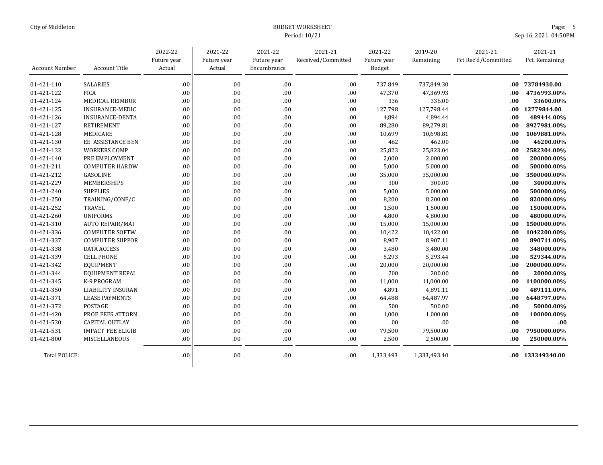| City of Middleton     |                          |                                  |                                  |                                       | Page: 5<br>Sep 16, 2021 04:50PM |                                  |                      |                                |                           |
|-----------------------|--------------------------|----------------------------------|----------------------------------|---------------------------------------|---------------------------------|----------------------------------|----------------------|--------------------------------|---------------------------|
| <b>Account Number</b> | Account Title            | 2022-22<br>Future year<br>Actual | 2021-22<br>Future year<br>Actual | 2021-22<br>Future year<br>Encumbrance | 2021-21<br>Received/Committed   | 2021-22<br>Future year<br>Budget | 2019-20<br>Remaining | 2021-21<br>Pct Rec'd/Committed | 2021-21<br>Pct. Remaining |
| 01-421-110            | <b>SALARIES</b>          | .00                              | .00.                             | .00                                   | .00                             | 737,849                          | 737,849.30           |                                | .00 73784930.00           |
| 01-421-122            | <b>FICA</b>              | .00                              | .00                              | .00                                   | .00                             | 47,370                           | 47,369.93            | .00.                           | 4736993.00%               |
| 01-421-124            | MEDICAL REIMBUR          | .00                              | .00                              | .00                                   | .00                             | 336                              | 336.00               | .00.                           | 33600.00%                 |
| 01-421-125            | INSURANCE-MEDIC          | .00.                             | .00                              | .00                                   | .00                             | 127,798                          | 127,798.44           | .00 <sub>1</sub>               | 12779844.00               |
| 01-421-126            | <b>INSURANCE-DENTA</b>   | .00                              | .00                              | .00                                   | .00                             | 4,894                            | 4,894.44             | .00                            | 489444.00%                |
| 01-421-127            | RETIREMENT               | .00                              | .00                              | .00                                   | .00                             | 89,280                           | 89,279.81            | .00                            | 8927981.00%               |
| 01-421-128            | <b>MEDICARE</b>          | .00                              | .00                              | .00                                   | .00                             | 10,699                           | 10,698.81            | .00.                           | 1069881.00%               |
| 01-421-130            | <b>EE ASSISTANCE BEN</b> | .00.                             | .00                              | .00                                   | .00                             | 462                              | 462.00               | .00                            | 46200.00%                 |
| 01-421-132            | <b>WORKERS COMP</b>      | .00                              | .00                              | .00                                   | .00                             | 25,823                           | 25,823.04            | .00                            | 2582304.00%               |
| 01-421-140            | PRE EMPLOYMENT           | .00                              | .00                              | .00                                   | .00                             | 2,000                            | 2,000.00             | .00                            | 200000.00%                |
| 01-421-211            | <b>COMPUTER HARDW</b>    | .00                              | .00                              | .00                                   | .00                             | 5,000                            | 5,000.00             | .00.                           | 500000.00%                |
| 01-421-212            | <b>GASOLINE</b>          | .00                              | .00                              | .00                                   | .00                             | 35,000                           | 35,000.00            | .00                            | 3500000.00%               |
| 01-421-229            | MEMBERSHIPS              | .00                              | .00                              | .00                                   | .00                             | 300                              | 300.00               | .00                            | 30000.00%                 |
| 01-421-240            | <b>SUPPLIES</b>          | .00                              | .00                              | .00                                   | .00                             | 5,000                            | 5,000.00             | .00                            | 500000.00%                |
| 01-421-250            | TRAINING/CONF/C          | .00                              | .00                              | .00                                   | .00                             | 8,200                            | 8,200.00             | .00.                           | 820000.00%                |
| 01-421-252            | <b>TRAVEL</b>            | .00.                             | .00                              | .00                                   | .00                             | 1,500                            | 1,500.00             | .00                            | 150000.00%                |
| 01-421-260            | <b>UNIFORMS</b>          | .00                              | .00                              | .00                                   | .00                             | 4,800                            | 4,800.00             | .00                            | 480000.00%                |
| 01-421-310            | <b>AUTO REPAIR/MAI</b>   | .00                              | .00                              | .00                                   | .00                             | 15,000                           | 15,000.00            | .00                            | 1500000.00%               |
| 01-421-336            | <b>COMPUTER SOFTW</b>    | .00                              | .00                              | .00                                   | .00                             | 10,422                           | 10,422.00            | .00.                           | 1042200.00%               |
| 01-421-337            | <b>COMPUTER SUPPOR</b>   | .00                              | .00                              | .00                                   | .00                             | 8,907                            | 8,907.11             | .00                            | 890711.00%                |
| 01-421-338            | <b>DATA ACCESS</b>       | .00                              | .00                              | .00                                   | .00                             | 3,480                            | 3,480.00             | .00                            | 348000.00%                |
| 01-421-339            | <b>CELL PHONE</b>        | .00                              | .00                              | .00                                   | .00                             | 5,293                            | 5,293.44             | .00                            | 529344.00%                |
| 01-421-342            | <b>EQUIPMENT</b>         | .00                              | .00                              | .00                                   | .00                             | 20,000                           | 20,000.00            | .00.                           | 2000000.00%               |
| 01-421-344            | <b>EQUIPMENT REPAI</b>   | .00.                             | .00                              | .00                                   | .00                             | 200                              | 200.00               | .00                            | 20000.00%                 |
| 01-421-345            | K-9 PROGRAM              | .00                              | .00                              | .00                                   | .00                             | 11,000                           | 11,000.00            | .00                            | 1100000.00%               |
| 01-421-350            | <b>LIABILITY INSURAN</b> | .00                              | .00                              | .00                                   | .00                             | 4,891                            | 4,891.11             | .00                            | 489111.00%                |
| 01-421-371            | <b>LEASE PAYMENTS</b>    | .00.                             | .00                              | .00                                   | .00                             | 64,488                           | 64,487.97            | .00.                           | 6448797.00%               |
| 01-421-372            | <b>POSTAGE</b>           | .00                              | .00                              | .00                                   | .00                             | 500                              | 500.00               | .00                            | 50000.00%                 |
| 01-421-420            | PROF FEES ATTORN         | .00                              | .00                              | .00                                   | .00                             | 1,000                            | 1,000.00             | .00                            | 100000.00%                |
| 01-421-530            | <b>CAPITAL OUTLAY</b>    | .00                              | .00                              | .00                                   | .00                             | .00                              | .00                  | .00                            | .00                       |
| 01-421-531            | <b>IMPACT FEE ELIGIB</b> | .00.                             | .00                              | .00                                   | .00                             | 79,500                           | 79,500.00            | .00.                           | 7950000.00%               |
| 01-421-800            | <b>MISCELLANEOUS</b>     | .00                              | .00                              | .00                                   | .00                             | 2,500                            | 2,500.00             | .00.                           | 250000.00%                |
| <b>Total POLICE:</b>  |                          | .00                              | .00                              | .00                                   | .00                             | 1,333,493                        | 1,333,493.40         |                                | .00 133349340.00          |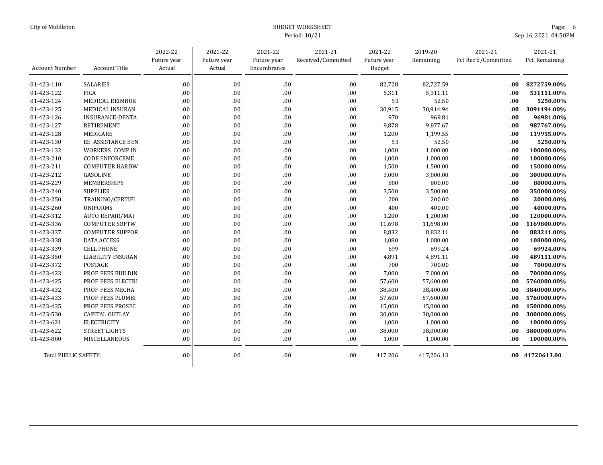| City of Middleton           |                          |                                  |                                  | Page: 6<br>Sep 16, 2021 04:50PM       |                               |                                         |                      |                                |                           |
|-----------------------------|--------------------------|----------------------------------|----------------------------------|---------------------------------------|-------------------------------|-----------------------------------------|----------------------|--------------------------------|---------------------------|
| <b>Account Number</b>       | <b>Account Title</b>     | 2022-22<br>Future year<br>Actual | 2021-22<br>Future year<br>Actual | 2021-22<br>Future year<br>Encumbrance | 2021-21<br>Received/Committed | 2021-22<br>Future year<br><b>Budget</b> | 2019-20<br>Remaining | 2021-21<br>Pct Rec'd/Committed | 2021-21<br>Pct. Remaining |
| 01-423-110                  | <b>SALARIES</b>          | .00                              | .00                              | .00                                   | .00                           | 82,728                                  | 82,727.59            | .00.                           | 8272759.00%               |
| 01-423-122                  | <b>FICA</b>              | .00                              | .00                              | .00                                   | .00                           | 5,311                                   | 5,311.11             | .00                            | 531111.00%                |
| 01-423-124                  | MEDICAL REIMBUR          | .00                              | .00                              | .00                                   | .00                           | 53                                      | 52.50                | .00                            | 5250.00%                  |
| 01-423-125                  | MEDICAL INSURAN          | .00                              | .00                              | .00                                   | .00                           | 30,915                                  | 30,914.94            | .00                            | 3091494.00%               |
| 01-423-126                  | <b>INSURANCE-DENTA</b>   | .00.                             | .00                              | .00                                   | .00                           | 970                                     | 969.81               | .00                            | 96981.00%                 |
| 01-423-127                  | RETIREMENT               | .00.                             | .00                              | .00                                   | .00                           | 9,878                                   | 9,877.67             | .00                            | 987767.00%                |
| 01-423-128                  | MEDICARE                 | .00                              | .00                              | .00                                   | .00                           | 1,200                                   | 1,199.55             | .00                            | 119955.00%                |
| 01-423-130                  | EE ASSISTANCE BEN        | .00                              | .00                              | .00                                   | .00                           | 53                                      | 52.50                | .00.                           | 5250.00%                  |
| 01-423-132                  | <b>WORKERS COMP IN</b>   | .00.                             | .00                              | .00                                   | .00                           | 1,000                                   | 1,000.00             | .00                            | 100000.00%                |
| 01-423-210                  | <b>CODE ENFORCEME</b>    | .00                              | .00                              | .00                                   | .00                           | 1,000                                   | 1,000.00             | .00                            | 100000.00%                |
| 01-423-211                  | <b>COMPUTER HARDW</b>    | .00                              | .00                              | .00                                   | .00                           | 1,500                                   | 1,500.00             | .00                            | 150000.00%                |
| 01-423-212                  | <b>GASOLINE</b>          | .00                              | .00                              | .00                                   | .00                           | 3,000                                   | 3,000.00             | .00                            | 300000.00%                |
| 01-423-229                  | MEMBERSHIPS              | .00                              | .00                              | .00                                   | .00                           | 800                                     | 800.00               | .00                            | 80000.00%                 |
| 01-423-240                  | <b>SUPPLIES</b>          | .00                              | .00                              | .00                                   | .00                           | 3,500                                   | 3,500.00             | .00                            | 350000.00%                |
| 01-423-250                  | TRAINING/CERTIFI         | .00                              | .00                              | .00                                   | .00                           | 200                                     | 200.00               | .00                            | 20000.00%                 |
| 01-423-260                  | <b>UNIFORMS</b>          | .00                              | .00                              | .00                                   | .00                           | 400                                     | 400.00               | .00                            | 40000.00%                 |
| 01-423-312                  | <b>AUTO REPAIR/MAI</b>   | .00                              | .00                              | .00                                   | .00                           | 1,200                                   | 1,200.00             | .00                            | 120000.00%                |
| 01-423-336                  | <b>COMPUTER SOFTW</b>    | .00                              | .00                              | .00                                   | .00                           | 11,698                                  | 11,698.00            | .00                            | 1169800.00%               |
| 01-423-337                  | <b>COMPUTER SUPPOR</b>   | .00                              | .00                              | .00                                   | .00                           | 8,832                                   | 8,832.11             | .00                            | 883211.00%                |
| 01-423-338                  | <b>DATA ACCESS</b>       | .00                              | .00                              | .00                                   | .00                           | 1,080                                   | 1,080.00             | .00                            | 108000.00%                |
| 01-423-339                  | <b>CELL PHONE</b>        | .00                              | .00                              | .00                                   | .00                           | 699                                     | 699.24               | .00                            | 69924.00%                 |
| 01-423-350                  | <b>LIABILITY INSURAN</b> | .00.                             | .00                              | .00                                   | .00                           | 4,891                                   | 4,891.11             | .00                            | 489111.00%                |
| 01-423-372                  | <b>POSTAGE</b>           | .00                              | .00                              | .00                                   | .00                           | 700                                     | 700.00               | .00                            | 70000.00%                 |
| 01-423-423                  | PROF FEES BUILDIN        | .00                              | .00                              | .00                                   | .00                           | 7,000                                   | 7,000.00             | .00                            | 700000.00%                |
| 01-423-425                  | <b>PROF FEES ELECTRI</b> | .00                              | .00                              | .00                                   | .00                           | 57,600                                  | 57,600.00            | .00                            | 5760000.00%               |
| 01-423-432                  | PROF FEES MECHA          | .00.                             | .00                              | .00                                   | .00                           | 38,400                                  | 38,400.00            | .00                            | 3840000.00%               |
| 01-423-433                  | PROF FEES PLUMBI         | .00                              | .00                              | .00                                   | .00                           | 57,600                                  | 57,600.00            | .00                            | 5760000.00%               |
| 01-423-435                  | <b>PROF FEES PROSEC</b>  | .00.                             | .00                              | .00                                   | .00                           | 15,000                                  | 15,000.00            | .00                            | 1500000.00%               |
| 01-423-530                  | <b>CAPITAL OUTLAY</b>    | .00                              | .00                              | .00                                   | .00                           | 30,000                                  | 30,000.00            | .00                            | 3000000.00%               |
| 01-423-621                  | <b>ELECTRICITY</b>       | .00                              | .00                              | .00                                   | .00                           | 1,000                                   | 1,000.00             | .00                            | 100000.00%                |
| 01-423-622                  | <b>STREET LIGHTS</b>     | .00                              | .00                              | .00                                   | .00                           | 38,000                                  | 38,000.00            | .00                            | 3800000.00%               |
| 01-423-800                  | MISCELLANEOUS            | .00.                             | .00                              | .00                                   | .00                           | 1,000                                   | 1,000.00             | .00.                           | 100000.00%                |
| <b>Total PUBLIC SAFETY:</b> |                          | .00                              | .00                              | .00                                   | .00                           | 417,206                                 | 417,206.13           |                                | .00 41720613.00           |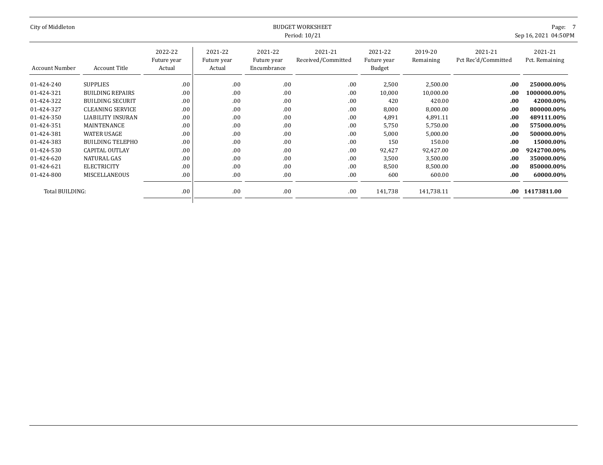| City of Middleton |                         | <b>BUDGET WORKSHEET</b><br>Period: 10/21 |                                  |                                       |                               |                                  |                      |                                |                           |  |
|-------------------|-------------------------|------------------------------------------|----------------------------------|---------------------------------------|-------------------------------|----------------------------------|----------------------|--------------------------------|---------------------------|--|
| Account Number    | <b>Account Title</b>    | 2022-22<br>Future year<br>Actual         | 2021-22<br>Future year<br>Actual | 2021-22<br>Future year<br>Encumbrance | 2021-21<br>Received/Committed | 2021-22<br>Future year<br>Budget | 2019-20<br>Remaining | 2021-21<br>Pct Rec'd/Committed | 2021-21<br>Pct. Remaining |  |
| 01-424-240        | <b>SUPPLIES</b>         | .00                                      | .00                              | .00.                                  | .00                           | 2,500                            | 2,500.00             | .00                            | 250000.00%                |  |
| 01-424-321        | <b>BUILDING REPAIRS</b> | .00                                      | .00                              | .00.                                  | .00                           | 10,000                           | 10,000.00            | .00                            | 1000000.00%               |  |
| 01-424-322        | <b>BUILDING SECURIT</b> | .00                                      | .00                              | .00.                                  | .00                           | 420                              | 420.00               | .00                            | 42000.00%                 |  |
| 01-424-327        | <b>CLEANING SERVICE</b> | .00                                      | .00                              | .00.                                  | .00                           | 8,000                            | 8,000.00             | .00                            | 800000.00%                |  |
| 01-424-350        | LIABILITY INSURAN       | .00                                      | .00                              | .00.                                  | .00                           | 4,891                            | 4,891.11             | .00                            | 489111.00%                |  |
| 01-424-351        | MAINTENANCE             | .00                                      | .00                              | .00.                                  | .00                           | 5,750                            | 5,750.00             | .00                            | 575000.00%                |  |
| 01-424-381        | <b>WATER USAGE</b>      | .00                                      | .00                              | .00.                                  | .00                           | 5,000                            | 5,000.00             | .00                            | 500000.00%                |  |
| 01-424-383        | <b>BUILDING TELEPHO</b> | .00                                      | .00                              | .00.                                  | .00                           | 150                              | 150.00               | .00                            | 15000.00%                 |  |
| 01-424-530        | <b>CAPITAL OUTLAY</b>   | .00                                      | .00                              | .00.                                  | .00                           | 92,427                           | 92,427.00            | .00                            | 9242700.00%               |  |
| 01-424-620        | NATURAL GAS             | .00                                      | .00                              | .00.                                  | .00                           | 3,500                            | 3,500.00             | .00                            | 350000.00%                |  |
| 01-424-621        | <b>ELECTRICITY</b>      | .00                                      | .00                              | .00.                                  | .00                           | 8,500                            | 8,500.00             | .00                            | 850000.00%                |  |
| 01-424-800        | MISCELLANEOUS           | .00                                      | .00.                             | .00.                                  | .00                           | 600                              | 600.00               | .00.                           | 60000.00%                 |  |
| Total BUILDING:   |                         | .00                                      | .00.                             | .00.                                  | .00                           | 141,738                          | 141,738.11           |                                | .00 14173811.00           |  |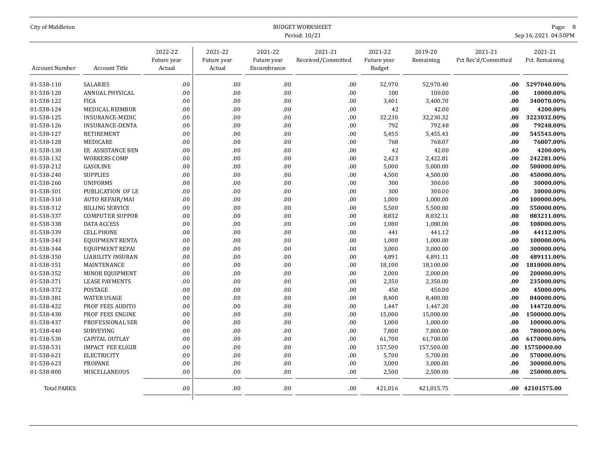| City of Middleton     |                          |                                  |                                  | Page: 8<br>Sep 16, 2021 04:50PM       |                               |                                         |                      |                                |                           |
|-----------------------|--------------------------|----------------------------------|----------------------------------|---------------------------------------|-------------------------------|-----------------------------------------|----------------------|--------------------------------|---------------------------|
| <b>Account Number</b> | <b>Account Title</b>     | 2022-22<br>Future year<br>Actual | 2021-22<br>Future year<br>Actual | 2021-22<br>Future year<br>Encumbrance | 2021-21<br>Received/Committed | 2021-22<br>Future year<br><b>Budget</b> | 2019-20<br>Remaining | 2021-21<br>Pct Rec'd/Committed | 2021-21<br>Pct. Remaining |
| 01-538-110            | <b>SALARIES</b>          | .00                              | .00                              | .00                                   | .00                           | 52,970                                  | 52,970.40            | .00.                           | 5297040.00%               |
| 01-538-120            | ANNUAL PHYSICAL          | .00                              | .00                              | .00                                   | .00                           | 100                                     | 100.00               | .00                            | 10000.00%                 |
| 01-538-122            | <b>FICA</b>              | .00                              | .00                              | .00                                   | .00                           | 3,401                                   | 3,400.70             | .00.                           | 340070.00%                |
| 01-538-124            | MEDICAL REIMBUR          | .00                              | .00                              | .00                                   | .00                           | 42                                      | 42.00                | .00                            | 4200.00%                  |
| 01-538-125            | INSURANCE-MEDIC          | .00                              | .00                              | .00                                   | .00                           | 32,230                                  | 32,230.32            | .00                            | 3223032.00%               |
| 01-538-126            | <b>INSURANCE-DENTA</b>   | .00                              | .00.                             | .00                                   | .00                           | 792                                     | 792.48               | .00                            | 79248.00%                 |
| 01-538-127            | RETIREMENT               | .00.                             | .00                              | .00                                   | .00                           | 5,455                                   | 5,455.43             | .00                            | 545543.00%                |
| 01-538-128            | MEDICARE                 | .00                              | .00                              | .00                                   | .00                           | 768                                     | 768.07               | .00                            | 76807.00%                 |
| 01-538-130            | EE ASSISTANCE BEN        | .00                              | .00                              | .00                                   | .00                           | 42                                      | 42.00                | .00                            | 4200.00%                  |
| 01-538-132            | <b>WORKERS COMP</b>      | .00                              | .00                              | .00                                   | .00                           | 2,423                                   | 2,422.81             | .00                            | 242281.00%                |
| 01-538-212            | GASOLINE                 | .00                              | .00.                             | .00                                   | .00                           | 5,000                                   | 5,000.00             | .00                            | 500000.00%                |
| 01-538-240            | <b>SUPPLIES</b>          | .00                              | .00                              | .00                                   | .00                           | 4,500                                   | 4,500.00             | .00.                           | 450000.00%                |
| 01-538-260            | <b>UNIFORMS</b>          | .00                              | .00                              | .00                                   | .00                           | 300                                     | 300.00               | .00                            | 30000.00%                 |
| 01-538-301            | PUBLICATION OF LE        | .00                              | .00                              | .00                                   | .00                           | 300                                     | 300.00               | .00                            | 30000.00%                 |
| 01-538-310            | <b>AUTO REPAIR/MAI</b>   | .00                              | .00                              | .00                                   | .00                           | 1,000                                   | 1,000.00             | .00                            | 100000.00%                |
| 01-538-312            | <b>BILLING SERVICE</b>   | .00                              | .00.                             | .00                                   | .00                           | 5,500                                   | 5,500.00             | .00                            | 550000.00%                |
| 01-538-337            | <b>COMPUTER SUPPOR</b>   | .00                              | .00                              | .00                                   | .00                           | 8,832                                   | 8,832.11             | .00                            | 883211.00%                |
| 01-538-338            | DATA ACCESS              | .00                              | .00                              | .00                                   | .00                           | 1,080                                   | 1,080.00             | .00.                           | 108000.00%                |
| 01-538-339            | <b>CELL PHONE</b>        | .00                              | .00                              | .00                                   | .00                           | 441                                     | 441.12               | .00                            | 44112.00%                 |
| 01-538-343            | <b>EQUIPMENT RENTA</b>   | .00                              | .00                              | .00                                   | .00                           | 1,000                                   | 1,000.00             | .00                            | 100000.00%                |
| 01-538-344            | EQUIPMENT REPAI          | .00                              | .00                              | .00                                   | .00                           | 3,000                                   | 3,000.00             | .00                            | 300000.00%                |
| 01-538-350            | <b>LIABILITY INSURAN</b> | .00                              | .00                              | .00                                   | .00                           | 4,891                                   | 4,891.11             | .00.                           | 489111.00%                |
| 01-538-351            | MAINTENANCE              | .00                              | .00                              | .00                                   | .00                           | 18,100                                  | 18,100.00            | .00                            | 1810000.00%               |
| 01-538-352            | MINOR EQUIPMENT          | .00                              | .00                              | .00                                   | .00                           | 2,000                                   | 2,000.00             | .00                            | 200000.00%                |
| 01-538-371            | <b>LEASE PAYMENTS</b>    | .00.                             | .00                              | .00                                   | .00                           | 2,350                                   | 2,350.00             | .00                            | 235000.00%                |
| 01-538-372            | POSTAGE                  | .00                              | .00                              | .00                                   | .00                           | 450                                     | 450.00               | .00                            | 45000.00%                 |
| 01-538-381            | <b>WATER USAGE</b>       | .00                              | .00                              | .00                                   | .00                           | 8,400                                   | 8,400.00             | .00                            | 840000.00%                |
| 01-538-422            | PROF FEES AUDITO         | .00                              | .00                              | .00                                   | .00                           | 1,447                                   | 1,447.20             | .00                            | 144720.00%                |
| 01-538-430            | PROF FEES ENGINE         | .00.                             | .00                              | .00                                   | .00                           | 15,000                                  | 15,000.00            | .00.                           | 1500000.00%               |
| 01-538-437            | PROFESSIONAL SER         | .00.                             | .00                              | .00                                   | .00                           | 1,000                                   | 1,000.00             | .00                            | 100000.00%                |
| 01-538-440            | SURVEYING                | .00                              | .00                              | .00                                   | .00                           | 7,800                                   | 7,800.00             | .00                            | 780000.00%                |
| 01-538-530            | <b>CAPITAL OUTLAY</b>    | .00                              | .00                              | .00                                   | .00                           | 61,700                                  | 61,700.00            | .00                            | 6170000.00%               |
| 01-538-531            | <b>IMPACT FEE ELIGIB</b> | .00                              | .00                              | .00                                   | .00                           | 157,500                                 | 157,500.00           | .00.                           | 15750000.00               |
| 01-538-621            | <b>ELECTRICITY</b>       | .00                              | .00                              | .00                                   | .00                           | 5,700                                   | 5,700.00             | .00                            | 570000.00%                |
| 01-538-623            | <b>PROPANE</b>           | .00                              | .00                              | .00                                   | .00                           | 3,000                                   | 3,000.00             | .00                            | 300000.00%                |
| 01-538-800            | MISCELLANEOUS            | .00                              | .00                              | .00                                   | .00                           | 2,500                                   | 2,500.00             | .00.                           | 250000.00%                |
|                       |                          |                                  |                                  |                                       |                               |                                         |                      |                                |                           |
| <b>Total PARKS:</b>   |                          | .00                              | .00                              | .00                                   | .00                           | 421,016                                 | 421,015.75           |                                | .00 42101575.00           |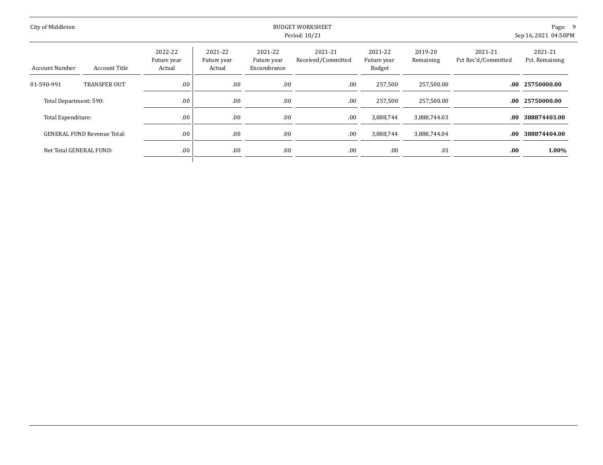| City of Middleton       |                                    | <b>BUDGET WORKSHEET</b><br>Period: 10/21<br>Sep 16, 2021 04:50PM |                                  |                                       |                               |                                  |                      |                                |                           |  |
|-------------------------|------------------------------------|------------------------------------------------------------------|----------------------------------|---------------------------------------|-------------------------------|----------------------------------|----------------------|--------------------------------|---------------------------|--|
| <b>Account Number</b>   | Account Title                      | 2022-22<br>Future year<br>Actual                                 | 2021-22<br>Future year<br>Actual | 2021-22<br>Future year<br>Encumbrance | 2021-21<br>Received/Committed | 2021-22<br>Future year<br>Budget | 2019-20<br>Remaining | 2021-21<br>Pct Rec'd/Committed | 2021-21<br>Pct. Remaining |  |
| 01-590-991              | TRANSFER OUT                       | .00                                                              | .00                              | .00.                                  | .00                           | 257,500                          | 257,500.00           | $.00\,$                        | 25750000.00               |  |
| Total Department: 590:  |                                    | .00                                                              | .00.                             | .00.                                  | .00                           | 257,500                          | 257,500.00           |                                | .00 25750000.00           |  |
| Total Expenditure:      |                                    | .00                                                              | .00.                             | .00.                                  | .00                           | 3,888,744                        | 3,888,744.03         | $.00\,$                        | 388874403.00              |  |
|                         | <b>GENERAL FUND Revenue Total:</b> | .00                                                              | .00                              | .00.                                  | .00                           | 3,888,744                        | 3,888,744.04         | $.00\,$                        | 388874404.00              |  |
| Net Total GENERAL FUND: |                                    | .00                                                              | .00                              | .00.                                  | .00                           | .00.                             | .01                  | .00                            | 1.00%                     |  |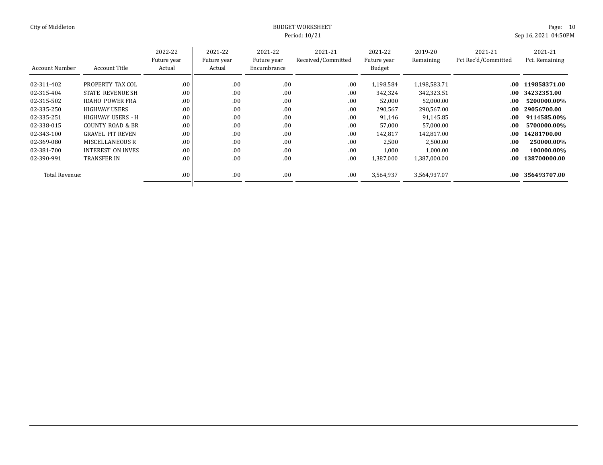| City of Middleton |                             | <b>BUDGET WORKSHEET</b><br>Period: 10/21 |                                  |                                       |                               |                                  |                      |                                |                           |  |  |
|-------------------|-----------------------------|------------------------------------------|----------------------------------|---------------------------------------|-------------------------------|----------------------------------|----------------------|--------------------------------|---------------------------|--|--|
| Account Number    | Account Title               | 2022-22<br>Future year<br>Actual         | 2021-22<br>Future year<br>Actual | 2021-22<br>Future year<br>Encumbrance | 2021-21<br>Received/Committed | 2021-22<br>Future year<br>Budget | 2019-20<br>Remaining | 2021-21<br>Pct Rec'd/Committed | 2021-21<br>Pct. Remaining |  |  |
| 02-311-402        | PROPERTY TAX COL            | .00                                      | .00                              | .00                                   | .00.                          | 1,198,584                        | 1,198,583.71         | .00.                           | 119858371.00              |  |  |
| 02-315-404        | <b>STATE REVENUE SH</b>     | .00                                      | .00                              | .00                                   | .00.                          | 342,324                          | 342,323.51           | .00.                           | 34232351.00               |  |  |
| 02-315-502        | <b>IDAHO POWER FRA</b>      | .00                                      | .00.                             | .00                                   | .00                           | 52,000                           | 52,000.00            | .00.                           | 5200000.00%               |  |  |
| 02-335-250        | <b>HIGHWAY USERS</b>        | .00                                      | .00                              | .00                                   | .00.                          | 290,567                          | 290,567.00           | .00.                           | 29056700.00               |  |  |
| 02-335-251        | HIGHWAY USERS - H           | .00                                      | .00.                             | .00                                   | .00.                          | 91,146                           | 91,145.85            | .00                            | 9114585.00%               |  |  |
| 02-338-015        | <b>COUNTY ROAD &amp; BR</b> | .00                                      | .00                              | .00                                   | .00.                          | 57,000                           | 57,000.00            | .00.                           | 5700000.00%               |  |  |
| 02-343-100        | <b>GRAVEL PIT REVEN</b>     | .00                                      | .00.                             | .00                                   | .00.                          | 142,817                          | 142,817.00           | .00.                           | 14281700.00               |  |  |
| 02-369-080        | <b>MISCELLANEOUS R</b>      | .00                                      | .00.                             | .00                                   | .00                           | 2,500                            | 2,500.00             | .00.                           | 250000.00%                |  |  |
| 02-381-700        | <b>INTEREST ON INVES</b>    | .00                                      | .00.                             | .00                                   | .00                           | 1,000                            | 1,000.00             | .00.                           | 100000.00%                |  |  |
| 02-390-991        | <b>TRANSFER IN</b>          | .00                                      | .00                              | .00                                   | .00                           | 1,387,000                        | 1,387,000.00         | $.00\,$                        | 138700000.00              |  |  |
| Total Revenue:    |                             | .00                                      | .00                              | .00                                   | .00.                          | 3,564,937                        | 3,564,937.07         | $.00\,$                        | 356493707.00              |  |  |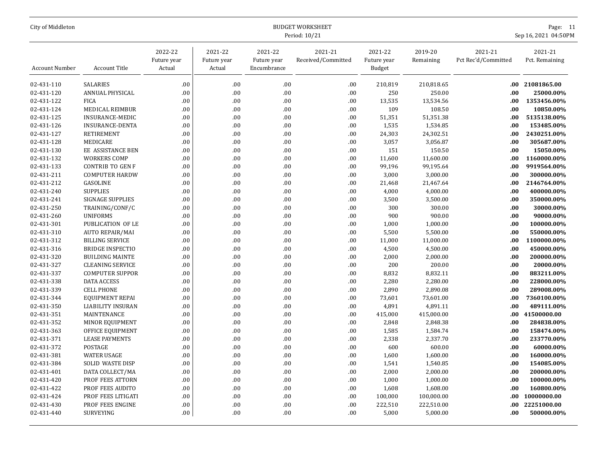| City of Middleton     |                         | <b>BUDGET WORKSHEET</b><br>Period: 10/21 |                                  |                                       |                               |                                  |                      |                                |                           |  |  |
|-----------------------|-------------------------|------------------------------------------|----------------------------------|---------------------------------------|-------------------------------|----------------------------------|----------------------|--------------------------------|---------------------------|--|--|
| <b>Account Number</b> | <b>Account Title</b>    | 2022-22<br>Future year<br>Actual         | 2021-22<br>Future year<br>Actual | 2021-22<br>Future year<br>Encumbrance | 2021-21<br>Received/Committed | 2021-22<br>Future year<br>Budget | 2019-20<br>Remaining | 2021-21<br>Pct Rec'd/Committed | 2021-21<br>Pct. Remaining |  |  |
| 02-431-110            | SALARIES                | .00                                      | .00                              | .00                                   | .00                           | 210,819                          | 210,818.65           | .00.                           | 21081865.00               |  |  |
| 02-431-120            | <b>ANNUAL PHYSICAL</b>  | .00                                      | .00                              | .00                                   | .00                           | 250                              | 250.00               | .00                            | 25000.00%                 |  |  |
| 02-431-122            | <b>FICA</b>             | .00                                      | .00                              | .00                                   | .00                           | 13,535                           | 13,534.56            | .00                            | 1353456.00%               |  |  |
| 02-431-124            | MEDICAL REIMBUR         | .00                                      | .00                              | .00                                   | .00                           | 109                              | 108.50               | .00                            | 10850.00%                 |  |  |
| 02-431-125            | INSURANCE-MEDIC         | .00                                      | .00                              | .00                                   | .00                           | 51,351                           | 51,351.38            | .00                            | 5135138.00%               |  |  |
| 02-431-126            | <b>INSURANCE-DENTA</b>  | .00                                      | .00                              | .00                                   | .00                           | 1,535                            | 1,534.85             | .00                            | 153485.00%                |  |  |
| 02-431-127            | <b>RETIREMENT</b>       | .00                                      | .00                              | .00                                   | .00                           | 24,303                           | 24,302.51            | .00                            | 2430251.00%               |  |  |
| 02-431-128            | MEDICARE                | .00                                      | .00                              | .00                                   | .00                           | 3,057                            | 3,056.87             | .00                            | 305687.00%                |  |  |
| 02-431-130            | EE ASSISTANCE BEN       | .00                                      | .00                              | .00                                   | .00                           | 151                              | 150.50               | .00                            | 15050.00%                 |  |  |
| 02-431-132            | <b>WORKERS COMP</b>     | .00                                      | .00                              | .00                                   | .00                           | 11,600                           | 11,600.00            | .00                            | 1160000.00%               |  |  |
| 02-431-133            | <b>CONTRIB TO GEN F</b> | .00                                      | .00                              | .00                                   | .00                           | 99,196                           | 99,195.64            | .00                            | 9919564.00%               |  |  |
| 02-431-211            | <b>COMPUTER HARDW</b>   | .00                                      | .00                              | .00                                   | .00                           | 3,000                            | 3,000.00             | .00                            | 300000.00%                |  |  |
| 02-431-212            | GASOLINE                | .00                                      | .00                              | .00                                   | .00                           | 21,468                           | 21,467.64            | .00                            | 2146764.00%               |  |  |
| 02-431-240            | <b>SUPPLIES</b>         | .00                                      | .00                              | .00                                   | .00                           | 4,000                            | 4,000.00             | .00                            | 400000.00%                |  |  |
| 02-431-241            | <b>SIGNAGE SUPPLIES</b> | .00                                      | .00                              | .00                                   | .00                           | 3,500                            | 3,500.00             | .00                            | 350000.00%                |  |  |
| 02-431-250            | TRAINING/CONF/C         | .00                                      | .00                              | .00                                   | .00                           | 300                              | 300.00               | .00                            | 30000.00%                 |  |  |
| 02-431-260            | <b>UNIFORMS</b>         | .00                                      | .00                              | .00                                   | .00                           | 900                              | 900.00               | .00                            | 90000.00%                 |  |  |
| 02-431-301            | PUBLICATION OF LE       | .00                                      | .00                              | .00                                   | .00                           | 1,000                            | 1,000.00             | .00                            | 100000.00%                |  |  |
| 02-431-310            | <b>AUTO REPAIR/MAI</b>  | .00                                      | .00                              | .00                                   | .00                           | 5,500                            | 5,500.00             | .00                            | 550000.00%                |  |  |
| 02-431-312            | <b>BILLING SERVICE</b>  | .00                                      | .00                              | .00                                   | .00                           | 11,000                           | 11,000.00            | .00                            | 1100000.00%               |  |  |
| 02-431-316            | <b>BRIDGE INSPECTIO</b> | .00                                      | .00                              | .00                                   | .00                           | 4,500                            | 4,500.00             | .00                            | 450000.00%                |  |  |
| 02-431-320            | <b>BUILDING MAINTE</b>  | .00                                      | .00                              | .00                                   | .00                           | 2,000                            | 2,000.00             | .00                            | 200000.00%                |  |  |
| 02-431-327            | <b>CLEANING SERVICE</b> | .00                                      | .00                              | .00                                   | .00                           | 200                              | 200.00               | .00                            | 20000.00%                 |  |  |
| 02-431-337            | <b>COMPUTER SUPPOR</b>  | .00                                      | .00                              | .00                                   | .00                           | 8,832                            | 8,832.11             | .00                            | 883211.00%                |  |  |
| 02-431-338            | DATA ACCESS             | .00                                      | .00                              | .00                                   | .00                           | 2,280                            | 2,280.00             | .00                            | 228000.00%                |  |  |
| 02-431-339            | <b>CELL PHONE</b>       | .00                                      | .00                              | .00.                                  | .00                           | 2,890                            | 2,890.08             | .00                            | 289008.00%                |  |  |
| 02-431-344            | <b>EQUIPMENT REPAI</b>  | .00                                      | .00                              | .00                                   | .00                           | 73,601                           | 73,601.00            | .00                            | 7360100.00%               |  |  |
| 02-431-350            | LIABILITY INSURAN       | .00                                      | .00                              | .00                                   | .00                           | 4,891                            | 4,891.11             | .00                            | 489111.00%                |  |  |
| 02-431-351            | MAINTENANCE             | .00                                      | .00                              | .00                                   | .00                           | 415,000                          | 415,000.00           | $.00\,$                        | 41500000.00               |  |  |
| 02-431-352            | MINOR EQUIPMENT         | .00                                      | .00                              | .00                                   | .00                           | 2,848                            | 2,848.38             | .00                            | 284838.00%                |  |  |
| 02-431-363            | OFFICE EQUIPMENT        | .00                                      | .00                              | .00                                   | .00                           | 1,585                            | 1,584.74             | .00                            | 158474.00%                |  |  |
| 02-431-371            | <b>LEASE PAYMENTS</b>   | .00                                      | .00                              | .00                                   | .00                           | 2,338                            | 2,337.70             | .00                            | 233770.00%                |  |  |
| 02-431-372            | POSTAGE                 | .00                                      | .00                              | .00                                   | .00                           | 600                              | 600.00               | .00                            | 60000.00%                 |  |  |
| 02-431-381            | <b>WATER USAGE</b>      | .00                                      | .00                              | .00                                   | .00                           | 1,600                            | 1,600.00             | .00                            | 160000.00%                |  |  |
| 02-431-384            | <b>SOLID WASTE DISP</b> | .00                                      | .00                              | .00                                   | .00                           | 1,541                            | 1,540.85             | .00                            | 154085.00%                |  |  |
| 02-431-401            | DATA COLLECT/MA         | .00                                      | .00                              | .00                                   | .00                           | 2,000                            | 2,000.00             | .00                            | 200000.00%                |  |  |
| 02-431-420            | PROF FEES ATTORN        | .00                                      | .00                              | .00                                   | .00                           | 1,000                            | 1,000.00             | .00                            | 100000.00%                |  |  |
| 02-431-422            | PROF FEES AUDITO        | .00                                      | .00                              | .00                                   | .00                           | 1,608                            | 1,608.00             | .00                            | 160800.00%                |  |  |
| 02-431-424            | PROF FEES LITIGATI      | .00                                      | .00                              | .00                                   | .00                           | 100,000                          | 100,000.00           |                                | .00 10000000.00           |  |  |
| 02-431-430            | PROF FEES ENGINE        | .00                                      | .00                              | .00                                   | .00                           | 222,510                          | 222,510.00           | .00.                           | 22251000.00               |  |  |
| 02-431-440            | SURVEYING               | .00 <sub>1</sub>                         | .00                              | .00.                                  | .00                           | 5,000                            | 5,000.00             | .00.                           | 500000.00%                |  |  |
|                       |                         |                                          |                                  |                                       |                               |                                  |                      |                                |                           |  |  |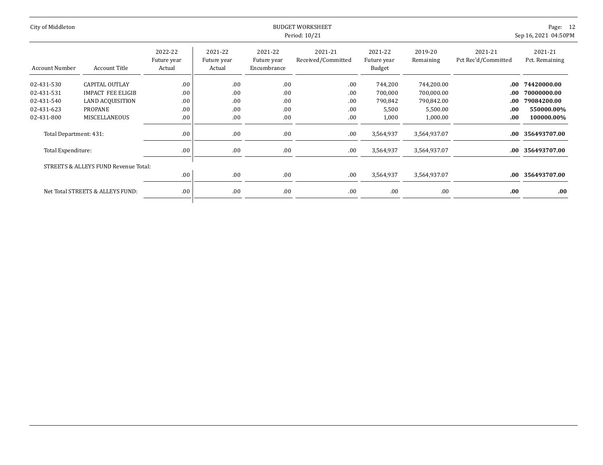| City of Middleton                                                                            |                                                                                                          | <b>BUDGET WORKSHEET</b><br>Sep 16, 2021 04:50PM<br>Period: 10/21 |                                         |                                        |                                            |                                                              |                                                                                |                                               |                                                                                       |  |  |
|----------------------------------------------------------------------------------------------|----------------------------------------------------------------------------------------------------------|------------------------------------------------------------------|-----------------------------------------|----------------------------------------|--------------------------------------------|--------------------------------------------------------------|--------------------------------------------------------------------------------|-----------------------------------------------|---------------------------------------------------------------------------------------|--|--|
| Account Number                                                                               | <b>Account Title</b>                                                                                     | 2022-22<br>Future year<br>Actual                                 | 2021-22<br>Future year<br>Actual        | 2021-22<br>Future year<br>Encumbrance  | 2021-21<br>Received/Committed              | 2021-22<br>Future year<br>Budget                             | 2019-20<br>Remaining                                                           | 2021-21<br>Pct Rec'd/Committed                | 2021-21<br>Pct. Remaining                                                             |  |  |
| 02-431-530<br>02-431-531<br>02-431-540<br>02-431-623<br>02-431-800<br>Total Department: 431: | <b>CAPITAL OUTLAY</b><br><b>IMPACT FEE ELIGIB</b><br><b>LAND ACQUISITION</b><br>PROPANE<br>MISCELLANEOUS | .00<br>.00<br>.00<br>.00<br>.00<br>.00                           | .00.<br>.00<br>.00<br>.00<br>.00<br>.00 | .00<br>.00<br>.00<br>.00<br>.00<br>.00 | .00.<br>.00.<br>.00.<br>.00<br>.00.<br>.00 | 744,200<br>700,000<br>790,842<br>5,500<br>1,000<br>3,564,937 | 744,200.00<br>700,000.00<br>790,842.00<br>5,500.00<br>1,000.00<br>3,564,937.07 | .00.<br>.00<br>.00.<br>.00.<br>.00<br>$.00\,$ | 74420000.00<br>70000000.00<br>79084200.00<br>550000.00%<br>100000.00%<br>356493707.00 |  |  |
| Total Expenditure:                                                                           | STREETS & ALLEYS FUND Revenue Total:                                                                     | .00<br>.00                                                       | .00.<br>.00                             | .00<br>.00                             | .00.<br>.00.                               | 3,564,937<br>3,564,937                                       | 3,564,937.07<br>3,564,937.07                                                   | $.00\,$                                       | .00 356493707.00<br>356493707.00                                                      |  |  |
|                                                                                              | Net Total STREETS & ALLEYS FUND:                                                                         | .00                                                              | .00                                     | .00                                    | .00                                        | .00                                                          | .00                                                                            | .00                                           | .00                                                                                   |  |  |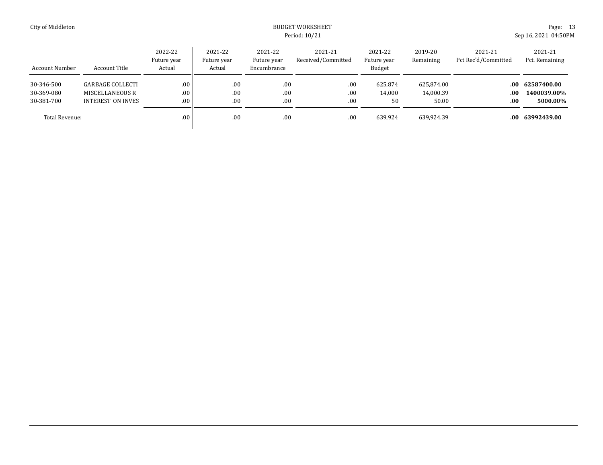| City of Middleton                      |                                                                 |                                  |                                  | Page: 13<br>Sep 16, 2021 04:50PM      |                               |                                         |                                  |                                |                                        |
|----------------------------------------|-----------------------------------------------------------------|----------------------------------|----------------------------------|---------------------------------------|-------------------------------|-----------------------------------------|----------------------------------|--------------------------------|----------------------------------------|
| Account Number                         | Account Title                                                   | 2022-22<br>Future year<br>Actual | 2021-22<br>Future year<br>Actual | 2021-22<br>Future year<br>Encumbrance | 2021-21<br>Received/Committed | 2021-22<br>Future year<br><b>Budget</b> | 2019-20<br>Remaining             | 2021-21<br>Pct Rec'd/Committed | 2021-21<br>Pct. Remaining              |
| 30-346-500<br>30-369-080<br>30-381-700 | <b>GARBAGE COLLECTI</b><br>MISCELLANEOUS R<br>INTEREST ON INVES | .00<br>.00<br>.00                | .00<br>.00<br>.00.               | .00<br>.00<br>.00                     | .00.<br>.00.<br>.00.          | 625,874<br>14,000<br>50                 | 625.874.00<br>14.000.39<br>50.00 | $.00\,$<br>.00.<br>.00.        | 62587400.00<br>1400039.00%<br>5000.00% |
| Total Revenue:                         |                                                                 | .00                              | .00                              | .00                                   | .00.                          | 639,924                                 | 639,924.39                       | $.00\,$                        | 63992439.00                            |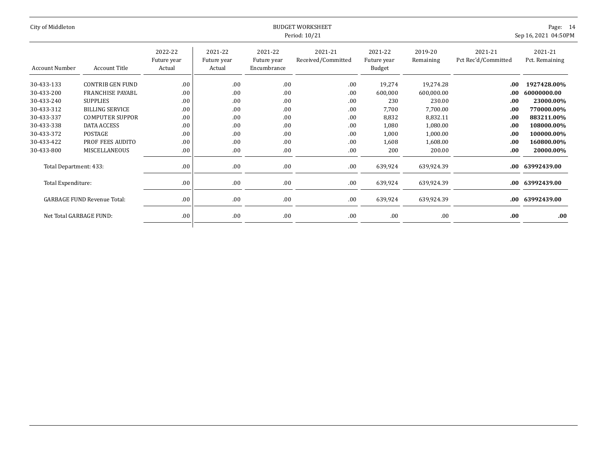| Page: 14<br>Sep 16, 2021 04:50PM |                                | <b>BUDGET WORKSHEET</b><br>Period: 10/21 |                                  |                               |                                       |                                  |                                  |                                    |                         |  |  |
|----------------------------------|--------------------------------|------------------------------------------|----------------------------------|-------------------------------|---------------------------------------|----------------------------------|----------------------------------|------------------------------------|-------------------------|--|--|
| 2021-21<br>Pct. Remaining        | 2021-21<br>Pct Rec'd/Committed | 2019-20<br>Remaining                     | 2021-22<br>Future year<br>Budget | 2021-21<br>Received/Committed | 2021-22<br>Future year<br>Encumbrance | 2021-22<br>Future year<br>Actual | 2022-22<br>Future year<br>Actual | Account Title                      | <b>Account Number</b>   |  |  |
| 1927428.00%                      | .00.                           | 19,274.28                                | 19,274                           | .00                           | .00                                   | .00                              | .00                              | <b>CONTRIB GEN FUND</b>            | 30-433-133              |  |  |
| 60000000.00                      | .00.                           | 600,000.00                               | 600,000                          | .00                           | .00                                   | .00                              | .00                              | <b>FRANCHISE PAYABL</b>            | 30-433-200              |  |  |
| 23000.00%                        | .00.                           | 230.00                                   | 230                              | .00                           | .00                                   | .00                              | .00                              | <b>SUPPLIES</b>                    | 30-433-240              |  |  |
| 770000.00%                       | .00                            | 7,700.00                                 | 7,700                            | .00                           | .00                                   | .00                              | .00                              | <b>BILLING SERVICE</b>             | 30-433-312              |  |  |
| 883211.00%                       | .00                            | 8,832.11                                 | 8,832                            | .00                           | .00                                   | .00                              | .00                              | <b>COMPUTER SUPPOR</b>             | 30-433-337              |  |  |
| 108000.00%                       | .00                            | 1.080.00                                 | 1,080                            | .00                           | .00                                   | .00                              | .00                              | <b>DATA ACCESS</b>                 | 30-433-338              |  |  |
| 100000.00%                       | .00                            | 1,000.00                                 | 1,000                            | .00                           | .00                                   | .00                              | .00                              | <b>POSTAGE</b>                     | 30-433-372              |  |  |
| 160800.00%                       | .00                            | 1,608.00                                 | 1,608                            | .00                           | .00                                   | .00                              | .00.                             | <b>PROF FEES AUDITO</b>            | 30-433-422              |  |  |
| 20000.00%                        | .00                            | 200.00                                   | 200                              | .00                           | .00                                   | .00                              | .00                              | MISCELLANEOUS                      | 30-433-800              |  |  |
| .00 63992439.00                  |                                | 639,924.39                               | 639,924                          | .00                           | .00                                   | .00                              | .00                              |                                    | Total Department: 433:  |  |  |
| .00 63992439.00                  |                                | 639,924.39                               | 639,924                          | .00                           | .00                                   | .00                              | .00                              |                                    | Total Expenditure:      |  |  |
| .00 63992439.00                  |                                | 639,924.39                               | 639,924                          | .00                           | .00                                   | .00                              | .00                              | <b>GARBAGE FUND Revenue Total:</b> |                         |  |  |
| .00.                             | .00                            | .00.                                     | .00                              | .00                           | .00                                   | .00                              | .00                              |                                    | Net Total GARBAGE FUND: |  |  |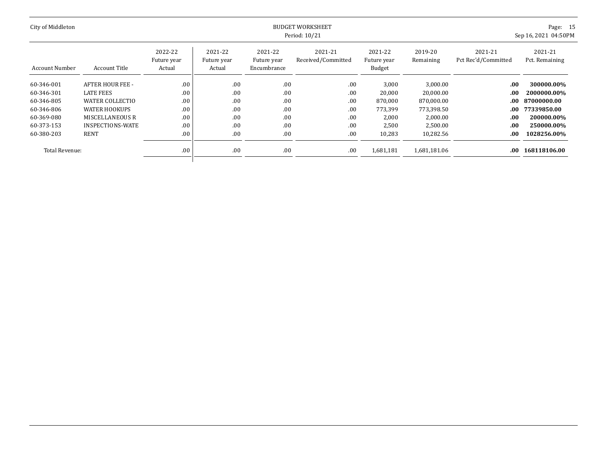| City of Middleton     |                         | <b>BUDGET WORKSHEET</b><br>Period: 10/21 |                                  |                                       |                               |                                  |                      |                                |                           |  |  |
|-----------------------|-------------------------|------------------------------------------|----------------------------------|---------------------------------------|-------------------------------|----------------------------------|----------------------|--------------------------------|---------------------------|--|--|
| <b>Account Number</b> | Account Title           | 2022-22<br>Future year<br>Actual         | 2021-22<br>Future year<br>Actual | 2021-22<br>Future year<br>Encumbrance | 2021-21<br>Received/Committed | 2021-22<br>Future year<br>Budget | 2019-20<br>Remaining | 2021-21<br>Pct Rec'd/Committed | 2021-21<br>Pct. Remaining |  |  |
| 60-346-001            | <b>AFTER HOUR FEE -</b> | .00                                      | .00                              | .00                                   | .00.                          | 3,000                            | 3,000.00             | .00                            | 300000.00%                |  |  |
| 60-346-301            | <b>LATE FEES</b>        | .00                                      | .00.                             | .00                                   | .00                           | 20,000                           | 20,000.00            | .00                            | 2000000.00%               |  |  |
| 60-346-805            | WATER COLLECTIO         | .00                                      | .00.                             | .00                                   | .00.                          | 870,000                          | 870,000.00           | .00.                           | 87000000.00               |  |  |
| 60-346-806            | WATER HOOKUPS           | .00                                      | .00                              | .00                                   | .00.                          | 773,399                          | 773,398.50           | .00.                           | 77339850.00               |  |  |
| 60-369-080            | MISCELLANEOUS R         | .00                                      | .00                              | .00                                   | .00                           | 2,000                            | 2,000.00             | .00.                           | 200000.00%                |  |  |
| 60-373-153            | INSPECTIONS-WATE        | .00                                      | .00                              | .00                                   | .00                           | 2,500                            | 2.500.00             | .00.                           | 250000.00%                |  |  |
| 60-380-203            | <b>RENT</b>             | .00                                      | .00.                             | .00                                   | .00.                          | 10,283                           | 10,282.56            | .00.                           | 1028256.00%               |  |  |
| Total Revenue:        |                         | .00                                      | .00                              | .00                                   | .00.                          | 1,681,181                        | 1,681,181.06         | $.00\,$                        | 168118106.00              |  |  |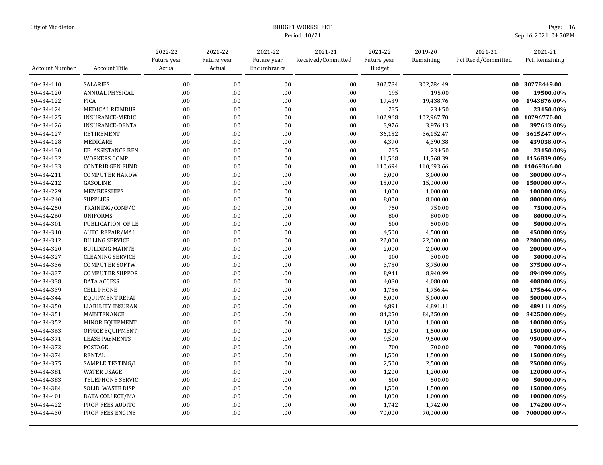| Page: 16<br>Sep 16, 2021 04:50PM |                                |                      | City of Middleton                |                               |                                       |                                  |                                  |                         |                       |
|----------------------------------|--------------------------------|----------------------|----------------------------------|-------------------------------|---------------------------------------|----------------------------------|----------------------------------|-------------------------|-----------------------|
| 2021-21<br>Pct. Remaining        | 2021-21<br>Pct Rec'd/Committed | 2019-20<br>Remaining | 2021-22<br>Future year<br>Budget | 2021-21<br>Received/Committed | 2021-22<br>Future year<br>Encumbrance | 2021-22<br>Future year<br>Actual | 2022-22<br>Future year<br>Actual | <b>Account Title</b>    | <b>Account Number</b> |
| 30278449.00                      | $.00\,$                        | 302,784.49           | 302,784                          | .00                           | .00                                   | .00                              | .00                              | SALARIES                | 60-434-110            |
| 19500.00%                        | .00                            | 195.00               | 195                              | .00                           | .00                                   | .00                              | .00                              | ANNUAL PHYSICAL         | 60-434-120            |
| 1943876.00%                      | .00                            | 19,438.76            | 19,439                           | .00                           | .00                                   | .00                              | .00                              | FICA                    | 60-434-122            |
| 23450.00%                        | .00                            | 234.50               | 235                              | .00                           | .00                                   | .00                              | .00                              | MEDICAL REIMBUR         | 60-434-124            |
| 10296770.00                      | $.00\,$                        | 102,967.70           | 102,968                          | .00                           | .00                                   | .00                              | .00                              | INSURANCE-MEDIC         | 60-434-125            |
| 397613.00%                       | .00                            | 3,976.13             | 3,976                            | .00                           | .00.                                  | .00                              | .00                              | <b>INSURANCE-DENTA</b>  | 60-434-126            |
| 3615247.00%                      | .00                            | 36,152.47            | 36,152                           | .00                           | .00                                   | .00                              | .00                              | RETIREMENT              | 60-434-127            |
| 439038.00%                       | .00                            | 4,390.38             | 4,390                            | .00                           | .00                                   | .00                              | .00                              | MEDICARE                | 60-434-128            |
| 23450.00%                        | .00                            | 234.50               | 235                              | .00                           | .00                                   | .00                              | .00                              | EE ASSISTANCE BEN       | 60-434-130            |
| 1156839.00%                      | .00                            | 11,568.39            | 11,568                           | .00                           | .00                                   | .00                              | .00                              | <b>WORKERS COMP</b>     | 60-434-132            |
| 11069366.00                      | .00.                           | 110,693.66           | 110,694                          | .00                           | .00                                   | .00                              | .00                              | <b>CONTRIB GEN FUND</b> | 60-434-133            |
| 300000.00%                       | .00                            | 3,000.00             | 3,000                            | .00                           | .00                                   | .00                              | .00                              | <b>COMPUTER HARDW</b>   | 60-434-211            |
| 1500000.00%                      | .00                            | 15,000.00            | 15,000                           | .00                           | .00                                   | .00                              | .00                              | GASOLINE                | 60-434-212            |
| 100000.00%                       | .00                            | 1,000.00             | 1,000                            | .00                           | .00                                   | .00                              | .00                              | MEMBERSHIPS             | 60-434-229            |
| 800000.00%                       | .00                            | 8,000.00             | 8,000                            | .00                           | .00                                   | .00                              | .00                              | <b>SUPPLIES</b>         | 60-434-240            |
| 75000.00%                        | .00                            | 750.00               | 750                              | .00                           | .00.                                  | .00                              | .00                              | TRAINING/CONF/C         | 60-434-250            |
| 80000.00%                        | .00                            | 800.00               | 800                              | .00                           | .00                                   | .00                              | .00                              | <b>UNIFORMS</b>         | 60-434-260            |
| 50000.00%                        | .00                            | 500.00               | 500                              | .00                           | .00                                   | .00                              | .00                              | PUBLICATION OF LE       | 60-434-301            |
| 450000.00%                       | .00                            | 4,500.00             | 4,500                            | .00                           | .00                                   | .00                              | .00                              | <b>AUTO REPAIR/MAI</b>  | 60-434-310            |
| 2200000.00%                      | .00                            | 22,000.00            | 22,000                           | .00                           | .00                                   | .00                              | .00                              | <b>BILLING SERVICE</b>  | 60-434-312            |
| 200000.00%                       | .00                            | 2,000.00             | 2,000                            | .00                           | .00                                   | .00                              | .00                              | <b>BUILDING MAINTE</b>  | 60-434-320            |
| 30000.00%                        | .00                            | 300.00               | 300                              | .00                           | .00                                   | .00                              | .00                              | <b>CLEANING SERVICE</b> | 60-434-327            |
| 375000.00%                       | .00                            | 3,750.00             | 3,750                            | .00                           | .00                                   | .00                              | .00                              | <b>COMPUTER SOFTW</b>   | 60-434-336            |
| 894099.00%                       | .00                            | 8,940.99             | 8,941                            | .00                           | .00                                   | .00                              | .00                              | <b>COMPUTER SUPPOR</b>  | 60-434-337            |
| 408000.00%                       | .00                            | 4,080.00             | 4,080                            | .00                           | .00                                   | .00                              | .00                              | <b>DATA ACCESS</b>      | 60-434-338            |
| 175644.00%                       | .00                            | 1,756.44             | 1,756                            | .00                           | .00.                                  | .00                              | .00                              | <b>CELL PHONE</b>       | 60-434-339            |
| 500000.00%                       | .00                            | 5,000.00             | 5,000                            | .00                           | .00                                   | .00                              | .00                              | <b>EQUIPMENT REPAI</b>  | 60-434-344            |
| 489111.00%                       | .00                            | 4,891.11             | 4,891                            | .00                           | .00                                   | .00                              | .00                              | LIABILITY INSURAN       | 60-434-350            |
| 8425000.00%                      | .00                            | 84,250.00            | 84,250                           | .00                           | .00                                   | .00                              | .00                              | MAINTENANCE             | 60-434-351            |
| 100000.00%                       | .00                            | 1,000.00             | 1,000                            | .00                           | .00                                   | .00                              | .00                              | MINOR EQUIPMENT         | 60-434-352            |
| 150000.00%                       | .00                            | 1,500.00             | 1,500                            | .00                           | .00                                   | .00                              | .00                              | OFFICE EQUIPMENT        | 60-434-363            |
| 950000.00%                       | .00                            | 9,500.00             | 9,500                            | .00                           | .00                                   | .00                              | .00                              | <b>LEASE PAYMENTS</b>   | 60-434-371            |
| 70000.00%                        | .00                            | 700.00               | 700                              | .00                           | .00                                   | .00                              | .00                              | POSTAGE                 | 60-434-372            |
| 150000.00%                       | .00                            | 1,500.00             | 1,500                            | .00                           | .00                                   | .00                              | .00                              | <b>RENTAL</b>           | 60-434-374            |
| 250000.00%                       | .00                            | 2,500.00             | 2,500                            | .00                           | .00                                   | .00                              | .00                              | SAMPLE TESTING/I        | 60-434-375            |
| 120000.00%                       | .00                            | 1,200.00             | 1,200                            | .00                           | .00                                   | .00                              | .00                              | <b>WATER USAGE</b>      | 60-434-381            |
| 50000.00%                        | .00                            | 500.00               | 500                              | .00                           | .00                                   | .00                              | .00                              | TELEPHONE SERVIC        | 60-434-383            |
| 150000.00%                       | .00                            | 1,500.00             | 1,500                            | .00                           | .00                                   | .00                              | .00                              | <b>SOLID WASTE DISP</b> | 60-434-384            |
| 100000.00%                       | .00                            | 1,000.00             | 1,000                            | .00                           | .00                                   | .00                              | .00                              | DATA COLLECT/MA         | 60-434-401            |
| 174200.00%                       | .00                            | 1,742.00             | 1,742                            | .00                           | .00                                   | .00                              | .00                              | PROF FEES AUDITO        | 60-434-422            |
| 7000000.00%                      | .00.                           | 70,000.00            | 70,000                           | .00                           | .00.                                  | .00                              | .00.                             | PROF FEES ENGINE        | 60-434-430            |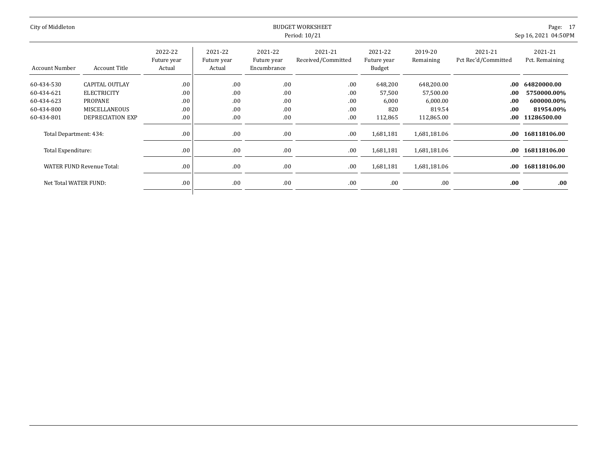| City of Middleton                                                  |                                                                                                    | <b>BUDGET WORKSHEET</b><br>Period: 10/21 |                                  |                                       |                                 |                                              |                                                             |                                        |                                                                      |  |  |  |
|--------------------------------------------------------------------|----------------------------------------------------------------------------------------------------|------------------------------------------|----------------------------------|---------------------------------------|---------------------------------|----------------------------------------------|-------------------------------------------------------------|----------------------------------------|----------------------------------------------------------------------|--|--|--|
| <b>Account Number</b>                                              | <b>Account Title</b>                                                                               | 2022-22<br>Future year<br>Actual         | 2021-22<br>Future year<br>Actual | 2021-22<br>Future year<br>Encumbrance | 2021-21<br>Received/Committed   | 2021-22<br>Future year<br>Budget             | 2019-20<br>Remaining                                        | 2021-21<br>Pct Rec'd/Committed         | 2021-21<br>Pct. Remaining                                            |  |  |  |
| 60-434-530<br>60-434-621<br>60-434-623<br>60-434-800<br>60-434-801 | <b>CAPITAL OUTLAY</b><br><b>ELECTRICITY</b><br><b>PROPANE</b><br>MISCELLANEOUS<br>DEPRECIATION EXP | .00<br>.00<br>.00<br>.00<br>.00.         | .00<br>.00<br>.00<br>.00<br>.00  | .00<br>.00<br>.00<br>.00<br>.00       | .00<br>.00<br>.00<br>.00<br>.00 | 648,200<br>57,500<br>6,000<br>820<br>112,865 | 648,200.00<br>57,500.00<br>6,000.00<br>819.54<br>112,865.00 | .00.<br>.00.<br>.00<br>.00.<br>$.00\,$ | 64820000.00<br>5750000.00%<br>600000.00%<br>81954.00%<br>11286500.00 |  |  |  |
| Total Department: 434:                                             |                                                                                                    | .00                                      | .00                              | .00                                   | .00                             | 1,681,181                                    | 1,681,181.06                                                | $.00\,$                                | 168118106.00                                                         |  |  |  |
| Total Expenditure:                                                 |                                                                                                    | .00                                      | .00                              | .00                                   | .00                             | 1,681,181                                    | 1,681,181.06                                                | $.00\,$                                | 168118106.00                                                         |  |  |  |
|                                                                    | <b>WATER FUND Revenue Total:</b>                                                                   | .00                                      | .00                              | .00                                   | .00                             | 1,681,181                                    | 1,681,181.06                                                | $.00\,$                                | 168118106.00                                                         |  |  |  |
| Net Total WATER FUND:                                              |                                                                                                    | .00                                      | .00                              | .00                                   | .00                             | .00                                          | .00.                                                        | .00                                    | .00                                                                  |  |  |  |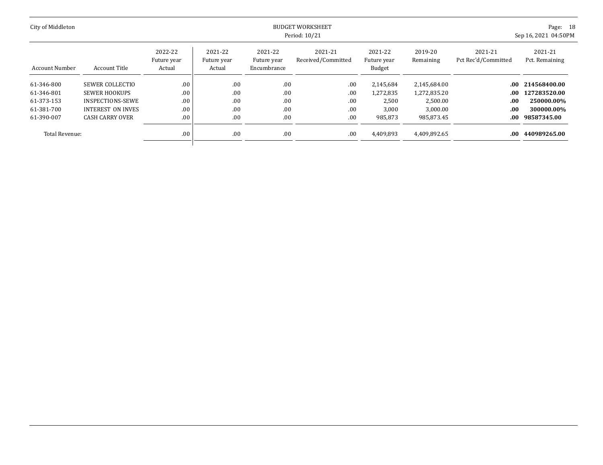| City of Middleton |                          | <b>BUDGET WORKSHEET</b><br>Period: 10/21<br>Sep 16, 2021 04:50PM |                                  |                                       |                               |                                  |                      |                                |                           |  |
|-------------------|--------------------------|------------------------------------------------------------------|----------------------------------|---------------------------------------|-------------------------------|----------------------------------|----------------------|--------------------------------|---------------------------|--|
| Account Number    | Account Title            | 2022-22<br>Future year<br>Actual                                 | 2021-22<br>Future year<br>Actual | 2021-22<br>Future year<br>Encumbrance | 2021-21<br>Received/Committed | 2021-22<br>Future year<br>Budget | 2019-20<br>Remaining | 2021-21<br>Pct Rec'd/Committed | 2021-21<br>Pct. Remaining |  |
| 61-346-800        | SEWER COLLECTIO          | .00                                                              | .00                              | .00                                   | .00.                          | 2,145,684                        | 2,145,684.00         | $.00\,$                        | 214568400.00              |  |
| 61-346-801        | <b>SEWER HOOKUPS</b>     | .00                                                              | .00                              | .00                                   | .00.                          | 1,272,835                        | 1,272,835.20         | .00                            | 127283520.00              |  |
| 61-373-153        | INSPECTIONS-SEWE         | .00                                                              | .00.                             | .00                                   | .00.                          | 2,500                            | 2,500.00             | $.00\,$                        | 250000.00%                |  |
| 61-381-700        | <b>INTEREST ON INVES</b> | .00                                                              | .00                              | .00                                   | .00                           | 3,000                            | 3,000.00             | .00.                           | 300000.00%                |  |
| 61-390-007        | <b>CASH CARRY OVER</b>   | .00                                                              | .00                              | .00                                   | .00.                          | 985,873                          | 985,873.45           | $.00\,$                        | 98587345.00               |  |
| Total Revenue:    |                          | .00                                                              | .00                              | .00                                   | .00.                          | 4,409,893                        | 4,409,892.65         | .00 <sub>1</sub>               | 440989265.00              |  |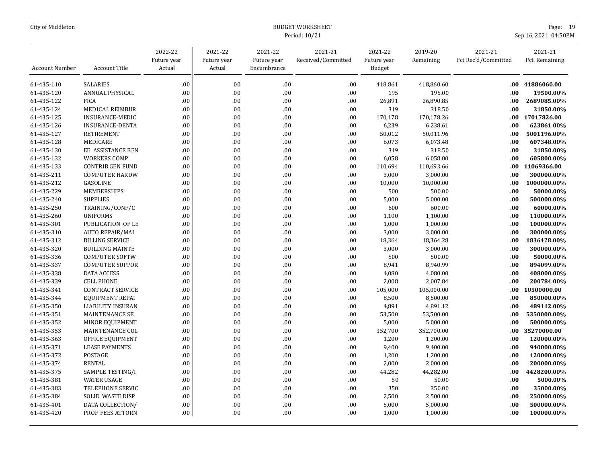| City of Middleton        |                                                  | <b>BUDGET WORKSHEET</b><br>Period: 10/21 |                                  |                                       |                               |                                         |                       |                                |                           |
|--------------------------|--------------------------------------------------|------------------------------------------|----------------------------------|---------------------------------------|-------------------------------|-----------------------------------------|-----------------------|--------------------------------|---------------------------|
| <b>Account Number</b>    | <b>Account Title</b>                             | 2022-22<br>Future year<br>Actual         | 2021-22<br>Future year<br>Actual | 2021-22<br>Future year<br>Encumbrance | 2021-21<br>Received/Committed | 2021-22<br>Future year<br><b>Budget</b> | 2019-20<br>Remaining  | 2021-21<br>Pct Rec'd/Committed | 2021-21<br>Pct. Remaining |
| 61-435-110               | <b>SALARIES</b>                                  | .00                                      | .00                              | .00                                   | .00                           | 418,861                                 | 418,860.60            | $.00\,$                        | 41886060.00               |
| 61-435-120               | <b>ANNUAL PHYSICAL</b>                           | .00                                      | .00                              | .00                                   | .00                           | 195                                     | 195.00                | .00                            | 19500.00%                 |
| 61-435-122               | <b>FICA</b>                                      | .00                                      | .00                              | .00                                   | .00                           | 26,891                                  | 26,890.85             | .00                            | 2689085.00%               |
| 61-435-124               | MEDICAL REIMBUR                                  | .00                                      | .00                              | .00                                   | .00                           | 319                                     | 318.50                | .00                            | 31850.00%                 |
| 61-435-125               | INSURANCE-MEDIC                                  | .00                                      | .00                              | .00                                   | .00                           | 170,178                                 | 170,178.26            | .00.                           | 17017826.00               |
| 61-435-126               | INSURANCE-DENTA                                  | .00                                      | .00                              | .00.                                  | .00                           | 6,239                                   | 6,238.61              | .00                            | 623861.00%                |
| 61-435-127               | RETIREMENT                                       | .00                                      | .00                              | .00                                   | .00                           | 50,012                                  | 50,011.96             | .00                            | 5001196.00%               |
| 61-435-128               | MEDICARE                                         | .00                                      | .00                              | .00                                   | .00                           | 6,073                                   | 6,073.48              | .00                            | 607348.00%                |
| 61-435-130               | EE ASSISTANCE BEN                                | .00                                      | .00                              | .00                                   | .00                           | 319                                     | 318.50                | .00                            | 31850.00%                 |
| 61-435-132               | <b>WORKERS COMP</b>                              | .00                                      | .00                              | .00                                   | .00                           | 6,058                                   | 6,058.00              | .00                            | 605800.00%                |
| 61-435-133               | <b>CONTRIB GEN FUND</b>                          | .00                                      | .00                              | .00                                   | .00                           | 110,694                                 | 110,693.66            | $.00\,$                        | 11069366.00               |
| 61-435-211               | <b>COMPUTER HARDW</b>                            | .00                                      | .00                              | .00                                   | .00                           | 3,000                                   | 3,000.00              | .00                            | 300000.00%                |
| 61-435-212               | GASOLINE                                         | .00                                      | .00                              | .00                                   | .00                           | 10,000                                  | 10,000.00             | .00                            | 1000000.00%               |
| 61-435-229               | MEMBERSHIPS                                      | .00                                      | .00                              | .00                                   | .00                           | 500                                     | 500.00                | .00                            | 50000.00%                 |
| 61-435-240               | <b>SUPPLIES</b>                                  | .00                                      | .00                              | .00                                   | .00                           | 5,000                                   | 5,000.00              | .00                            | 500000.00%                |
| 61-435-250               |                                                  | .00                                      | .00                              | .00.                                  | .00                           | 600                                     | 600.00                | .00                            | 60000.00%                 |
| 61-435-260               | TRAINING/CONF/C<br><b>UNIFORMS</b>               | .00                                      | .00                              | .00                                   | .00                           | 1,100                                   | 1,100.00              | .00                            | 110000.00%                |
| 61-435-301               | PUBLICATION OF LE                                | .00                                      |                                  | .00                                   |                               |                                         | 1,000.00              | .00                            | 100000.00%                |
| 61-435-310               | <b>AUTO REPAIR/MAI</b>                           | .00                                      | .00<br>.00                       | .00                                   | .00                           | 1,000<br>3,000                          | 3,000.00              | .00                            | 300000.00%                |
|                          |                                                  |                                          |                                  |                                       | .00                           |                                         |                       |                                |                           |
| 61-435-312<br>61-435-320 | <b>BILLING SERVICE</b><br><b>BUILDING MAINTE</b> | .00<br>.00                               | .00<br>.00                       | .00<br>.00                            | .00<br>.00                    | 18,364<br>3,000                         | 18,364.28<br>3,000.00 | .00<br>.00                     | 1836428.00%<br>300000.00% |
|                          |                                                  |                                          |                                  |                                       |                               |                                         |                       |                                |                           |
| 61-435-336               | <b>COMPUTER SOFTW</b>                            | .00                                      | .00                              | .00                                   | .00                           | 500                                     | 500.00                | .00                            | 50000.00%                 |
| 61-435-337               | <b>COMPUTER SUPPOR</b>                           | .00                                      | .00                              | .00                                   | .00                           | 8,941                                   | 8,940.99              | .00                            | 894099.00%                |
| 61-435-338               | <b>DATA ACCESS</b>                               | .00                                      | .00                              | .00                                   | .00                           | 4,080                                   | 4,080.00              | .00                            | 408000.00%                |
| 61-435-339               | <b>CELL PHONE</b>                                | .00                                      | .00                              | .00                                   | .00                           | 2,008                                   | 2,007.84              | .00                            | 200784.00%                |
| 61-435-341               | <b>CONTRACT SERVICE</b>                          | .00                                      | .00                              | .00                                   | .00                           | 105,000                                 | 105,000.00            | .00.                           | 10500000.00               |
| 61-435-344               | EQUIPMENT REPAI                                  | .00                                      | .00                              | .00                                   | .00                           | 8,500                                   | 8,500.00              | .00                            | 850000.00%                |
| 61-435-350               | LIABILITY INSURAN                                | .00                                      | .00                              | .00                                   | .00                           | 4,891                                   | 4,891.12              | .00                            | 489112.00%                |
| 61-435-351               | MAINTENANCE SE                                   | .00                                      | .00                              | .00                                   | .00                           | 53,500                                  | 53,500.00             | .00                            | 5350000.00%               |
| 61-435-352               | MINOR EQUIPMENT                                  | .00                                      | .00                              | .00                                   | .00                           | 5,000                                   | 5,000.00              | .00                            | 500000.00%                |
| 61-435-353               | MAINTENANCE COL                                  | .00                                      | .00                              | .00                                   | .00                           | 352,700                                 | 352,700.00            | .00                            | 35270000.00               |
| 61-435-363               | OFFICE EQUIPMENT                                 | .00                                      | .00                              | .00                                   | .00                           | 1,200                                   | 1,200.00              | .00                            | 120000.00%                |
| 61-435-371               | <b>LEASE PAYMENTS</b>                            | .00                                      | .00                              | .00                                   | .00                           | 9,400                                   | 9,400.00              | .00                            | 940000.00%                |
| 61-435-372               | <b>POSTAGE</b>                                   | .00                                      | .00.                             | .00                                   | .00                           | 1,200                                   | 1,200.00              | .00                            | 120000.00%                |
| 61-435-374               | <b>RENTAL</b>                                    | .00                                      | .00                              | .00                                   | .00                           | 2,000                                   | 2,000.00              | .00                            | 200000.00%                |
| 61-435-375               | SAMPLE TESTING/I                                 | .00                                      | .00                              | .00                                   | .00                           | 44,282                                  | 44,282.00             | .00                            | 4428200.00%               |
| 61-435-381               | WATER USAGE                                      | .00                                      | .00                              | .00                                   | .00                           | 50                                      | 50.00                 | .00                            | 5000.00%                  |
| 61-435-383               | TELEPHONE SERVIC                                 | .00                                      | .00                              | .00                                   | .00                           | 350                                     | 350.00                | .00                            | 35000.00%                 |
| 61-435-384               | SOLID WASTE DISP                                 | .00                                      | .00                              | .00.                                  | .00                           | 2,500                                   | 2,500.00              | .00                            | 250000.00%                |
| 61-435-401               | DATA COLLECTION/                                 | .00                                      | .00                              | .00                                   | .00                           | 5,000                                   | 5,000.00              | .00                            | 500000.00%                |
| 61-435-420               | PROF FEES ATTORN                                 | .00.                                     | .00                              | .00                                   | .00                           | 1,000                                   | 1,000.00              | .00                            | 100000.00%                |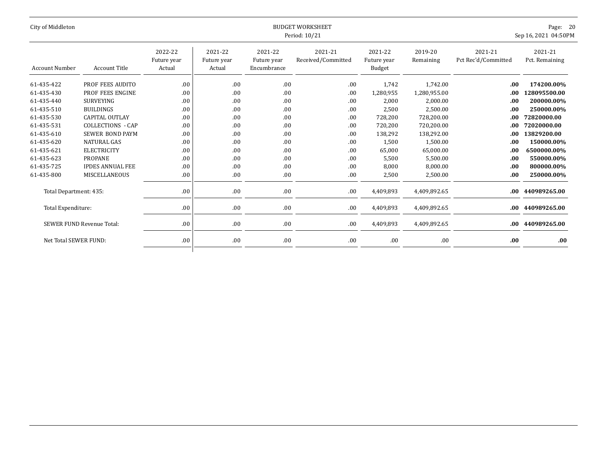| City of Middleton                                                                                                                                                    |                                                                                                                                                                                                                                                                       |                                                                                  |                                                                                        |                                                                                      | Page: 20<br>Sep 16, 2021 04:50PM                                                 |                                                                                                                     |                                                                                                                                                         |                                                                                  |                                                                                                                                                                            |
|----------------------------------------------------------------------------------------------------------------------------------------------------------------------|-----------------------------------------------------------------------------------------------------------------------------------------------------------------------------------------------------------------------------------------------------------------------|----------------------------------------------------------------------------------|----------------------------------------------------------------------------------------|--------------------------------------------------------------------------------------|----------------------------------------------------------------------------------|---------------------------------------------------------------------------------------------------------------------|---------------------------------------------------------------------------------------------------------------------------------------------------------|----------------------------------------------------------------------------------|----------------------------------------------------------------------------------------------------------------------------------------------------------------------------|
| <b>Account Number</b>                                                                                                                                                | <b>Account Title</b>                                                                                                                                                                                                                                                  | 2022-22<br>Future year<br>Actual                                                 | 2021-22<br>Future year<br>Actual                                                       | 2021-22<br>Future year<br>Encumbrance                                                | 2021-21<br>Received/Committed                                                    | 2021-22<br>Future year<br><b>Budget</b>                                                                             | 2019-20<br>Remaining                                                                                                                                    | 2021-21<br>Pct Rec'd/Committed                                                   | 2021-21<br>Pct. Remaining                                                                                                                                                  |
| 61-435-422<br>61-435-430<br>61-435-440<br>61-435-510<br>61-435-530<br>61-435-531<br>61-435-610<br>61-435-620<br>61-435-621<br>61-435-623<br>61-435-725<br>61-435-800 | PROF FEES AUDITO<br>PROF FEES ENGINE<br><b>SURVEYING</b><br><b>BUILDINGS</b><br><b>CAPITAL OUTLAY</b><br><b>COLLECTIONS - CAP</b><br><b>SEWER BOND PAYM</b><br><b>NATURAL GAS</b><br><b>ELECTRICITY</b><br><b>PROPANE</b><br><b>IPDES ANNUAL FEE</b><br>MISCELLANEOUS | .00<br>.00<br>.00<br>.00<br>.00<br>.00<br>.00<br>.00<br>.00<br>.00<br>.00<br>.00 | .00<br>.00<br>.00.<br>.00<br>.00<br>.00.<br>.00.<br>.00.<br>.00<br>.00.<br>.00.<br>.00 | .00<br>.00<br>.00.<br>.00.<br>.00<br>.00<br>.00.<br>.00.<br>.00<br>.00<br>.00<br>.00 | .00<br>.00<br>.00<br>.00<br>.00<br>.00<br>.00<br>.00<br>.00<br>.00<br>.00<br>.00 | 1,742<br>1,280,955<br>2,000<br>2,500<br>728,200<br>720,200<br>138,292<br>1,500<br>65,000<br>5,500<br>8,000<br>2,500 | 1,742.00<br>1,280,955.00<br>2.000.00<br>2,500.00<br>728,200.00<br>720,200.00<br>138,292.00<br>1.500.00<br>65,000.00<br>5,500.00<br>8,000.00<br>2,500.00 | .00<br>.00<br>.00<br>.00<br>.00<br>.00<br>.00<br>.00<br>.00<br>.00<br>.00<br>.00 | 174200.00%<br>128095500.00<br>200000.00%<br>250000.00%<br>72820000.00<br>72020000.00<br>13829200.00<br>150000.00%<br>6500000.00%<br>550000.00%<br>800000.00%<br>250000.00% |
| Total Department: 435:<br>Total Expenditure:                                                                                                                         | <b>SEWER FUND Revenue Total:</b>                                                                                                                                                                                                                                      | .00<br>.00<br>.00                                                                | .00<br>.00<br>.00                                                                      | .00<br>.00<br>.00                                                                    | .00<br>.00<br>.00                                                                | 4,409,893<br>4,409,893<br>4,409,893                                                                                 | 4,409,892.65<br>4,409,892.65<br>4,409,892.65                                                                                                            | $.00\,$<br>$.00\,$                                                               | 440989265.00<br>.00 440989265.00<br>440989265.00                                                                                                                           |
| Net Total SEWER FUND:                                                                                                                                                |                                                                                                                                                                                                                                                                       | .00                                                                              | .00.                                                                                   | .00                                                                                  | .00                                                                              | .00                                                                                                                 | .00.                                                                                                                                                    | .00                                                                              | .00                                                                                                                                                                        |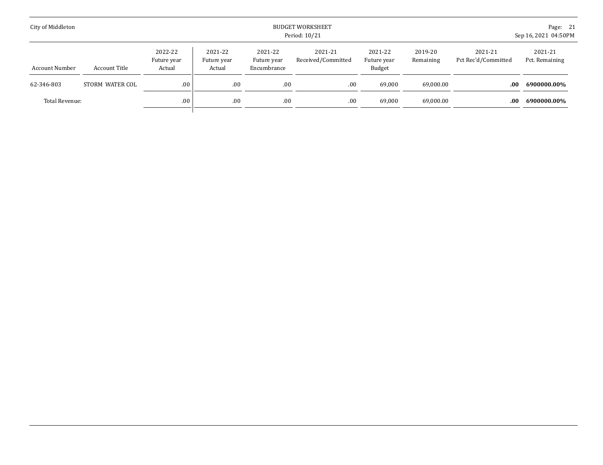| City of Middleton | BUDGET WORKSHEET<br>Period: 10/21 |                                  |                                  |                                       |                               |                                  |                      |                                | Page: 21<br>Sep 16, 2021 04:50PM |  |  |  |
|-------------------|-----------------------------------|----------------------------------|----------------------------------|---------------------------------------|-------------------------------|----------------------------------|----------------------|--------------------------------|----------------------------------|--|--|--|
| Account Number    | Account Title                     | 2022-22<br>Future year<br>Actual | 2021-22<br>Future year<br>Actual | 2021-22<br>Future year<br>Encumbrance | 2021-21<br>Received/Committed | 2021-22<br>Future year<br>Budget | 2019-20<br>Remaining | 2021-21<br>Pct Rec'd/Committed | 2021-21<br>Pct. Remaining        |  |  |  |
| 62-346-803        | STORM WATER COL                   | .00                              | .00                              | .00                                   | $.00\,$                       | 69,000                           | 69,000.00            | .00.                           | 6900000.00%                      |  |  |  |
| Total Revenue:    |                                   | .00                              | .00                              | .00                                   | $.00\,$                       | 69,000                           | 69,000.00            | .00                            | 6900000.00%                      |  |  |  |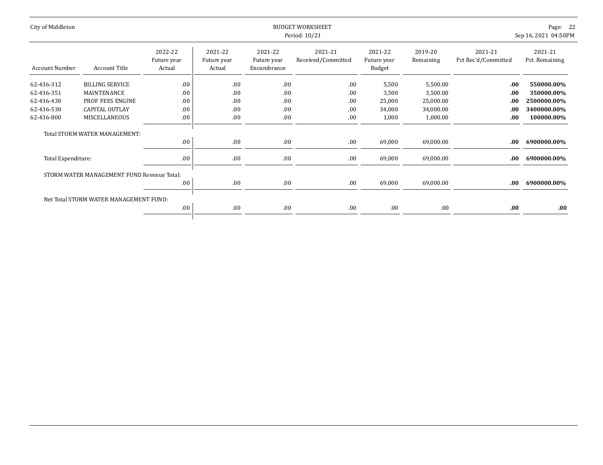| City of Middleton     |                                            | <b>BUDGET WORKSHEET</b><br>Period: 10/21 |                                  |                                       |                               |                                  |                      |                                |                           |  |  |  |
|-----------------------|--------------------------------------------|------------------------------------------|----------------------------------|---------------------------------------|-------------------------------|----------------------------------|----------------------|--------------------------------|---------------------------|--|--|--|
| <b>Account Number</b> | <b>Account Title</b>                       | 2022-22<br>Future year<br>Actual         | 2021-22<br>Future year<br>Actual | 2021-22<br>Future year<br>Encumbrance | 2021-21<br>Received/Committed | 2021-22<br>Future year<br>Budget | 2019-20<br>Remaining | 2021-21<br>Pct Rec'd/Committed | 2021-21<br>Pct. Remaining |  |  |  |
| 62-436-312            | <b>BILLING SERVICE</b>                     | .00                                      | .00                              | .00                                   | .00.                          | 5,500                            | 5,500.00             | .00.                           | 550000.00%                |  |  |  |
| 62-436-351            | MAINTENANCE                                | .00                                      | .00                              | .00                                   | .00.                          | 3,500                            | 3,500.00             | .00                            | 350000.00%                |  |  |  |
| 62-436-430            | PROF FEES ENGINE                           | .00                                      | .00                              | .00                                   | .00                           | 25,000                           | 25,000.00            | .00                            | 2500000.00%               |  |  |  |
| 62-436-530            | <b>CAPITAL OUTLAY</b>                      | .00                                      | .00                              | .00                                   | .00.                          | 34,000                           | 34,000.00            | .00                            | 3400000.00%               |  |  |  |
| 62-436-800            | MISCELLANEOUS                              | .00                                      | .00                              | .00                                   | .00                           | 1,000                            | 1,000.00             | .00.                           | 100000.00%                |  |  |  |
|                       | Total STORM WATER MANAGEMENT:              |                                          |                                  |                                       |                               |                                  |                      |                                |                           |  |  |  |
|                       |                                            | .00                                      | .00                              | .00                                   | .00                           | 69,000                           | 69,000.00            | .00                            | 6900000.00%               |  |  |  |
| Total Expenditure:    |                                            | .00                                      | .00                              | .00                                   | .00                           | 69,000                           | 69,000.00            | .00.                           | 6900000.00%               |  |  |  |
|                       | STORM WATER MANAGEMENT FUND Revenue Total: |                                          |                                  |                                       |                               |                                  |                      |                                |                           |  |  |  |
|                       |                                            | .00                                      | .00                              | .00                                   | .00                           | 69,000                           | 69,000.00            | .00.                           | 6900000.00%               |  |  |  |
|                       | Net Total STORM WATER MANAGEMENT FUND:     |                                          |                                  |                                       |                               |                                  |                      |                                |                           |  |  |  |
|                       |                                            | .00                                      | .00                              | .00                                   | .00                           | .00                              | .00.                 | .00                            | .00                       |  |  |  |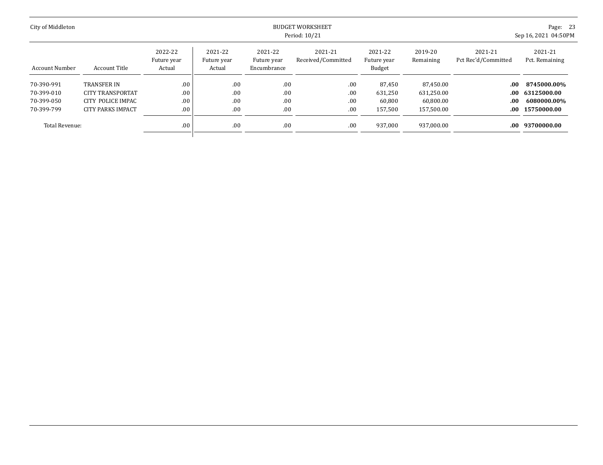| City of Middleton                                    |                                                                                                |                                  |                                  |                                       | Page: 23<br>Sep 16, 2021 04:50PM |                                        |                                                    |                                |                                                          |
|------------------------------------------------------|------------------------------------------------------------------------------------------------|----------------------------------|----------------------------------|---------------------------------------|----------------------------------|----------------------------------------|----------------------------------------------------|--------------------------------|----------------------------------------------------------|
| Account Number                                       | Account Title                                                                                  | 2022-22<br>Future year<br>Actual | 2021-22<br>Future year<br>Actual | 2021-22<br>Future year<br>Encumbrance | 2021-21<br>Received/Committed    | 2021-22<br>Future year<br>Budget       | 2019-20<br>Remaining                               | 2021-21<br>Pct Rec'd/Committed | 2021-21<br>Pct. Remaining                                |
| 70-390-991<br>70-399-010<br>70-399-050<br>70-399-799 | <b>TRANSFER IN</b><br><b>CITY TRANSPORTAT</b><br>CITY POLICE IMPAC<br><b>CITY PARKS IMPACT</b> | .00<br>.00<br>.00<br>.00         | .00<br>.00<br>.00<br>.00         | .00.<br>.00.<br>.00.<br>.00.          | .00<br>.00<br>.00<br>.00         | 87,450<br>631,250<br>60,800<br>157,500 | 87,450.00<br>631,250.00<br>60.800.00<br>157,500.00 | .00.<br>$.00\,$<br>.00.<br>.00 | 8745000.00%<br>63125000.00<br>6080000.00%<br>15750000.00 |
| Total Revenue:                                       |                                                                                                | .00                              | .00.                             | .00.                                  | .00                              | 937,000                                | 937,000.00                                         | $.00\,$                        | 93700000.00                                              |